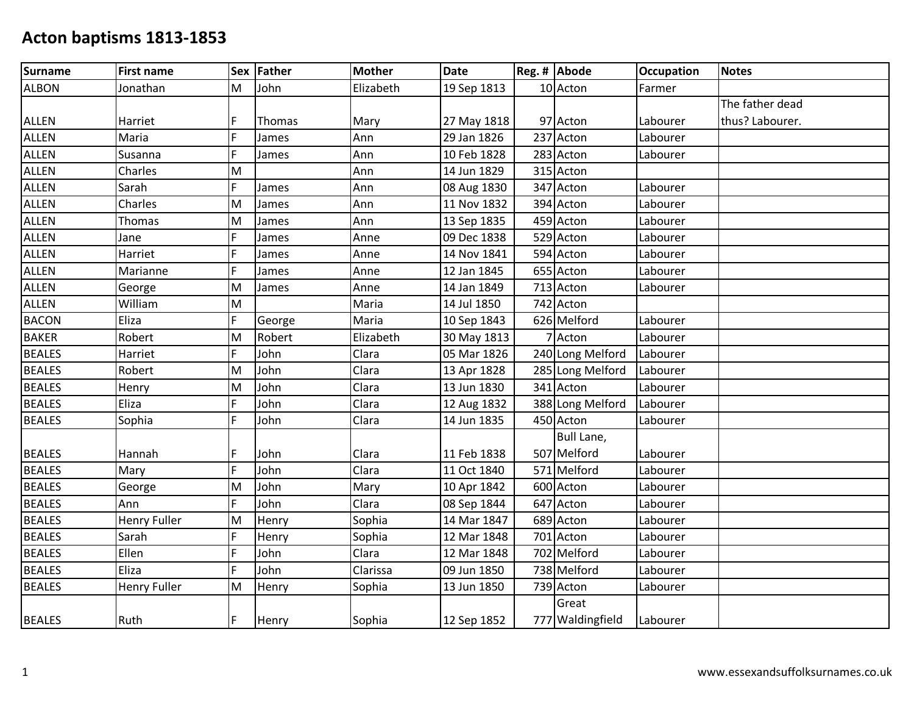| Surname       | <b>First name</b>   |   | Sex Father | <b>Mother</b> | <b>Date</b> | Reg. # Abode     | <b>Occupation</b> | <b>Notes</b>    |
|---------------|---------------------|---|------------|---------------|-------------|------------------|-------------------|-----------------|
| <b>ALBON</b>  | Jonathan            | M | John       | Elizabeth     | 19 Sep 1813 | 10 Acton         | Farmer            |                 |
|               |                     |   |            |               |             |                  |                   | The father dead |
| <b>ALLEN</b>  | Harriet             | F | Thomas     | Mary          | 27 May 1818 | 97 Acton         | Labourer          | thus? Labourer. |
| <b>ALLEN</b>  | Maria               | F | James      | Ann           | 29 Jan 1826 | 237 Acton        | Labourer          |                 |
| <b>ALLEN</b>  | Susanna             | F | James      | Ann           | 10 Feb 1828 | 283 Acton        | Labourer          |                 |
| <b>ALLEN</b>  | Charles             | M |            | Ann           | 14 Jun 1829 | 315 Acton        |                   |                 |
| ALLEN         | Sarah               | F | James      | Ann           | 08 Aug 1830 | 347 Acton        | Labourer          |                 |
| <b>ALLEN</b>  | Charles             | M | James      | Ann           | 11 Nov 1832 | 394 Acton        | Labourer          |                 |
| ALLEN         | Thomas              | M | James      | Ann           | 13 Sep 1835 | 459 Acton        | Labourer          |                 |
| <b>ALLEN</b>  | Jane                | F | James      | Anne          | 09 Dec 1838 | 529 Acton        | Labourer          |                 |
| <b>ALLEN</b>  | Harriet             | F | James      | Anne          | 14 Nov 1841 | 594 Acton        | Labourer          |                 |
| <b>ALLEN</b>  | Marianne            | F | James      | Anne          | 12 Jan 1845 | 655 Acton        | Labourer          |                 |
| ALLEN         | George              | M | James      | Anne          | 14 Jan 1849 | 713 Acton        | Labourer          |                 |
| ALLEN         | William             | M |            | Maria         | 14 Jul 1850 | 742 Acton        |                   |                 |
| <b>BACON</b>  | Eliza               | F | George     | Maria         | 10 Sep 1843 | 626 Melford      | Labourer          |                 |
| <b>BAKER</b>  | Robert              | M | Robert     | Elizabeth     | 30 May 1813 | 7 Acton          | Labourer          |                 |
| <b>BEALES</b> | Harriet             | F | John       | Clara         | 05 Mar 1826 | 240 Long Melford | Labourer          |                 |
| <b>BEALES</b> | Robert              | M | John       | Clara         | 13 Apr 1828 | 285 Long Melford | Labourer          |                 |
| <b>BEALES</b> | Henry               | M | John       | Clara         | 13 Jun 1830 | 341 Acton        | Labourer          |                 |
| <b>BEALES</b> | Eliza               | F | John       | Clara         | 12 Aug 1832 | 388 Long Melford | Labourer          |                 |
| <b>BEALES</b> | Sophia              | Ē | John       | Clara         | 14 Jun 1835 | 450 Acton        | Labourer          |                 |
|               |                     |   |            |               |             | Bull Lane,       |                   |                 |
| <b>BEALES</b> | Hannah              | F | John       | Clara         | 11 Feb 1838 | 507 Melford      | Labourer          |                 |
| <b>BEALES</b> | Mary                | F | John       | Clara         | 11 Oct 1840 | 571 Melford      | Labourer          |                 |
| <b>BEALES</b> | George              | M | John       | Mary          | 10 Apr 1842 | 600 Acton        | Labourer          |                 |
| <b>BEALES</b> | Ann                 | F | John       | Clara         | 08 Sep 1844 | 647 Acton        | Labourer          |                 |
| <b>BEALES</b> | <b>Henry Fuller</b> | M | Henry      | Sophia        | 14 Mar 1847 | 689 Acton        | Labourer          |                 |
| <b>BEALES</b> | Sarah               | F | Henry      | Sophia        | 12 Mar 1848 | 701 Acton        | Labourer          |                 |
| <b>BEALES</b> | Ellen               | F | John       | Clara         | 12 Mar 1848 | 702 Melford      | Labourer          |                 |
| <b>BEALES</b> | Eliza               | F | John       | Clarissa      | 09 Jun 1850 | 738 Melford      | Labourer          |                 |
| <b>BEALES</b> | <b>Henry Fuller</b> | M | Henry      | Sophia        | 13 Jun 1850 | 739 Acton        | Labourer          |                 |
|               |                     |   |            |               |             | Great            |                   |                 |
| <b>BEALES</b> | Ruth                | F | Henry      | Sophia        | 12 Sep 1852 | 777 Waldingfield | Labourer          |                 |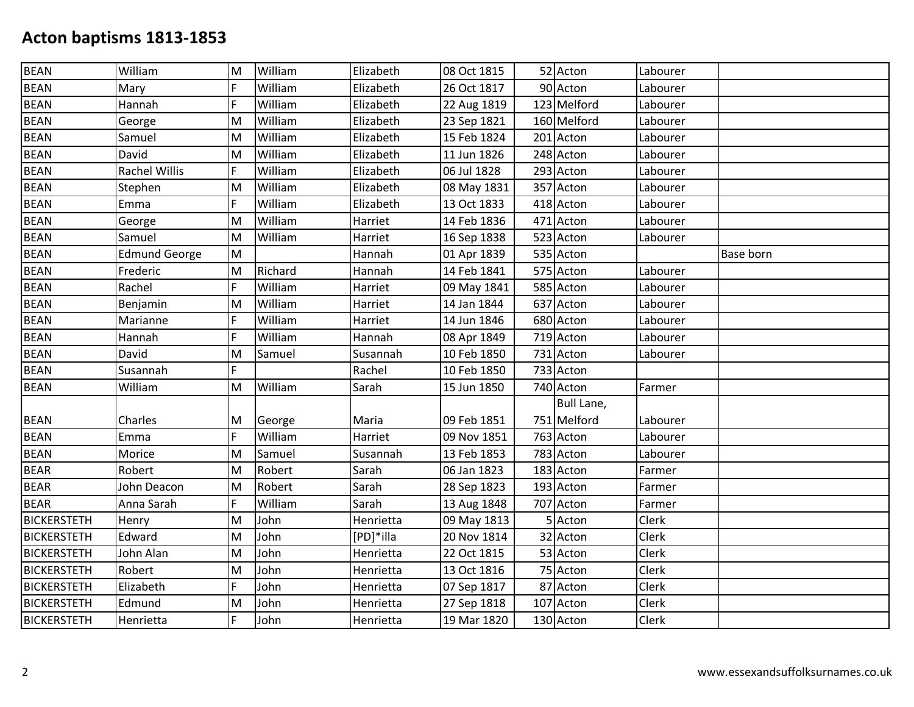| 52 Acton<br>F<br>William<br>90 Acton<br><b>BEAN</b><br>Elizabeth<br>26 Oct 1817<br>Labourer<br>Mary<br>F<br>William<br>123 Melford<br><b>BEAN</b><br>Elizabeth<br>22 Aug 1819<br>Hannah<br>Labourer<br><b>BEAN</b><br>William<br>160 Melford<br>M<br>Elizabeth<br>23 Sep 1821<br>Labourer<br>George<br><b>BEAN</b><br>William<br>Elizabeth<br>15 Feb 1824<br>M<br>201 Acton<br>Samuel<br>Labourer<br>William<br>11 Jun 1826<br>248 Acton<br>David<br>M<br>Elizabeth<br>Labourer<br>Rachel Willis<br>F<br>William<br>Elizabeth<br>06 Jul 1828<br>293 Acton<br>Labourer<br>M<br>William<br>Elizabeth<br>357 Acton<br>Stephen<br>08 May 1831<br>Labourer<br>F<br>William<br>13 Oct 1833<br>Emma<br>Elizabeth<br>418 Acton<br>Labourer<br>William<br>14 Feb 1836<br>471 Acton<br>M<br>Harriet<br>Labourer<br>George<br>William<br>523 Acton<br>Samuel<br>M<br>Harriet<br>16 Sep 1838<br>Labourer<br><b>Edmund George</b><br>M<br>535 Acton<br>Hannah<br>01 Apr 1839<br><b>Base born</b><br>Richard<br>14 Feb 1841<br>575 Acton<br>Frederic<br>M<br>Hannah<br>Labourer<br>F<br>Rachel<br>William<br>09 May 1841<br>585 Acton<br>Harriet<br>Labourer<br>William<br>14 Jan 1844<br>637 Acton<br>Benjamin<br>M<br>Harriet<br>Labourer<br>William<br>F<br>14 Jun 1846<br>680 Acton<br>Marianne<br>Harriet<br>Labourer<br>F<br>William<br>08 Apr 1849<br>719 Acton<br>Labourer<br>Hannah<br>Hannah<br>David<br>Samuel<br>10 Feb 1850<br>731 Acton<br>M<br>Susannah<br>Labourer<br>F<br>10 Feb 1850<br>Rachel<br>733 Acton<br>Susannah<br>William<br>William<br>M<br>Sarah<br>15 Jun 1850<br>740 Acton<br>Farmer<br>Bull Lane,<br>751 Melford<br>Charles<br>09 Feb 1851<br>M<br>George<br>Maria<br>Labourer<br>F<br>763 Acton<br>William<br>Harriet<br>09 Nov 1851<br>Labourer<br>Emma<br>Morice<br>M<br>13 Feb 1853<br>783 Acton<br>Samuel<br>Susannah<br>Labourer<br>Sarah<br>183 Acton<br>Robert<br>M<br>Robert<br>06 Jan 1823<br>Farmer<br>Robert<br>193 Acton<br>John Deacon<br>Sarah<br>28 Sep 1823<br>M<br>Farmer<br>F<br>William<br>707 Acton<br>Anna Sarah<br>Sarah<br>13 Aug 1848<br>Farmer<br>M<br>John<br>Henrietta<br>09 May 1813<br>5 Acton<br>Clerk<br>Henry<br>M<br>John<br>[PD]*illa<br>20 Nov 1814<br>32 Acton<br>Clerk<br>Edward<br>John<br>Clerk<br>John Alan<br>M<br>22 Oct 1815<br>53 Acton<br>Henrietta<br>Robert<br>John<br>75 Acton<br>Clerk<br>M<br>Henrietta<br>13 Oct 1816<br>F<br>John<br>87 Acton<br>Elizabeth<br>Clerk<br>Henrietta<br>07 Sep 1817<br>M<br>John<br>107 Acton<br>Edmund<br>Henrietta<br>27 Sep 1818<br>Clerk<br>F<br>John<br>130 Acton<br><b>Clerk</b><br>Henrietta<br>Henrietta<br>19 Mar 1820 | <b>BEAN</b>        | William | M | William | Elizabeth | 08 Oct 1815 |  | Labourer |  |
|------------------------------------------------------------------------------------------------------------------------------------------------------------------------------------------------------------------------------------------------------------------------------------------------------------------------------------------------------------------------------------------------------------------------------------------------------------------------------------------------------------------------------------------------------------------------------------------------------------------------------------------------------------------------------------------------------------------------------------------------------------------------------------------------------------------------------------------------------------------------------------------------------------------------------------------------------------------------------------------------------------------------------------------------------------------------------------------------------------------------------------------------------------------------------------------------------------------------------------------------------------------------------------------------------------------------------------------------------------------------------------------------------------------------------------------------------------------------------------------------------------------------------------------------------------------------------------------------------------------------------------------------------------------------------------------------------------------------------------------------------------------------------------------------------------------------------------------------------------------------------------------------------------------------------------------------------------------------------------------------------------------------------------------------------------------------------------------------------------------------------------------------------------------------------------------------------------------------------------------------------------------------------------------------------------------------------------------------------------------------------------------------------------------------------------------------------------------------------------------------------------------------------------------------------------------------------------------------------------------------------------|--------------------|---------|---|---------|-----------|-------------|--|----------|--|
|                                                                                                                                                                                                                                                                                                                                                                                                                                                                                                                                                                                                                                                                                                                                                                                                                                                                                                                                                                                                                                                                                                                                                                                                                                                                                                                                                                                                                                                                                                                                                                                                                                                                                                                                                                                                                                                                                                                                                                                                                                                                                                                                                                                                                                                                                                                                                                                                                                                                                                                                                                                                                                    |                    |         |   |         |           |             |  |          |  |
|                                                                                                                                                                                                                                                                                                                                                                                                                                                                                                                                                                                                                                                                                                                                                                                                                                                                                                                                                                                                                                                                                                                                                                                                                                                                                                                                                                                                                                                                                                                                                                                                                                                                                                                                                                                                                                                                                                                                                                                                                                                                                                                                                                                                                                                                                                                                                                                                                                                                                                                                                                                                                                    |                    |         |   |         |           |             |  |          |  |
|                                                                                                                                                                                                                                                                                                                                                                                                                                                                                                                                                                                                                                                                                                                                                                                                                                                                                                                                                                                                                                                                                                                                                                                                                                                                                                                                                                                                                                                                                                                                                                                                                                                                                                                                                                                                                                                                                                                                                                                                                                                                                                                                                                                                                                                                                                                                                                                                                                                                                                                                                                                                                                    |                    |         |   |         |           |             |  |          |  |
|                                                                                                                                                                                                                                                                                                                                                                                                                                                                                                                                                                                                                                                                                                                                                                                                                                                                                                                                                                                                                                                                                                                                                                                                                                                                                                                                                                                                                                                                                                                                                                                                                                                                                                                                                                                                                                                                                                                                                                                                                                                                                                                                                                                                                                                                                                                                                                                                                                                                                                                                                                                                                                    |                    |         |   |         |           |             |  |          |  |
|                                                                                                                                                                                                                                                                                                                                                                                                                                                                                                                                                                                                                                                                                                                                                                                                                                                                                                                                                                                                                                                                                                                                                                                                                                                                                                                                                                                                                                                                                                                                                                                                                                                                                                                                                                                                                                                                                                                                                                                                                                                                                                                                                                                                                                                                                                                                                                                                                                                                                                                                                                                                                                    |                    |         |   |         |           |             |  |          |  |
|                                                                                                                                                                                                                                                                                                                                                                                                                                                                                                                                                                                                                                                                                                                                                                                                                                                                                                                                                                                                                                                                                                                                                                                                                                                                                                                                                                                                                                                                                                                                                                                                                                                                                                                                                                                                                                                                                                                                                                                                                                                                                                                                                                                                                                                                                                                                                                                                                                                                                                                                                                                                                                    | <b>BEAN</b>        |         |   |         |           |             |  |          |  |
|                                                                                                                                                                                                                                                                                                                                                                                                                                                                                                                                                                                                                                                                                                                                                                                                                                                                                                                                                                                                                                                                                                                                                                                                                                                                                                                                                                                                                                                                                                                                                                                                                                                                                                                                                                                                                                                                                                                                                                                                                                                                                                                                                                                                                                                                                                                                                                                                                                                                                                                                                                                                                                    | <b>BEAN</b>        |         |   |         |           |             |  |          |  |
|                                                                                                                                                                                                                                                                                                                                                                                                                                                                                                                                                                                                                                                                                                                                                                                                                                                                                                                                                                                                                                                                                                                                                                                                                                                                                                                                                                                                                                                                                                                                                                                                                                                                                                                                                                                                                                                                                                                                                                                                                                                                                                                                                                                                                                                                                                                                                                                                                                                                                                                                                                                                                                    | <b>BEAN</b>        |         |   |         |           |             |  |          |  |
|                                                                                                                                                                                                                                                                                                                                                                                                                                                                                                                                                                                                                                                                                                                                                                                                                                                                                                                                                                                                                                                                                                                                                                                                                                                                                                                                                                                                                                                                                                                                                                                                                                                                                                                                                                                                                                                                                                                                                                                                                                                                                                                                                                                                                                                                                                                                                                                                                                                                                                                                                                                                                                    | <b>BEAN</b>        |         |   |         |           |             |  |          |  |
|                                                                                                                                                                                                                                                                                                                                                                                                                                                                                                                                                                                                                                                                                                                                                                                                                                                                                                                                                                                                                                                                                                                                                                                                                                                                                                                                                                                                                                                                                                                                                                                                                                                                                                                                                                                                                                                                                                                                                                                                                                                                                                                                                                                                                                                                                                                                                                                                                                                                                                                                                                                                                                    | <b>BEAN</b>        |         |   |         |           |             |  |          |  |
|                                                                                                                                                                                                                                                                                                                                                                                                                                                                                                                                                                                                                                                                                                                                                                                                                                                                                                                                                                                                                                                                                                                                                                                                                                                                                                                                                                                                                                                                                                                                                                                                                                                                                                                                                                                                                                                                                                                                                                                                                                                                                                                                                                                                                                                                                                                                                                                                                                                                                                                                                                                                                                    | <b>BEAN</b>        |         |   |         |           |             |  |          |  |
|                                                                                                                                                                                                                                                                                                                                                                                                                                                                                                                                                                                                                                                                                                                                                                                                                                                                                                                                                                                                                                                                                                                                                                                                                                                                                                                                                                                                                                                                                                                                                                                                                                                                                                                                                                                                                                                                                                                                                                                                                                                                                                                                                                                                                                                                                                                                                                                                                                                                                                                                                                                                                                    | <b>BEAN</b>        |         |   |         |           |             |  |          |  |
|                                                                                                                                                                                                                                                                                                                                                                                                                                                                                                                                                                                                                                                                                                                                                                                                                                                                                                                                                                                                                                                                                                                                                                                                                                                                                                                                                                                                                                                                                                                                                                                                                                                                                                                                                                                                                                                                                                                                                                                                                                                                                                                                                                                                                                                                                                                                                                                                                                                                                                                                                                                                                                    | <b>BEAN</b>        |         |   |         |           |             |  |          |  |
|                                                                                                                                                                                                                                                                                                                                                                                                                                                                                                                                                                                                                                                                                                                                                                                                                                                                                                                                                                                                                                                                                                                                                                                                                                                                                                                                                                                                                                                                                                                                                                                                                                                                                                                                                                                                                                                                                                                                                                                                                                                                                                                                                                                                                                                                                                                                                                                                                                                                                                                                                                                                                                    | <b>BEAN</b>        |         |   |         |           |             |  |          |  |
|                                                                                                                                                                                                                                                                                                                                                                                                                                                                                                                                                                                                                                                                                                                                                                                                                                                                                                                                                                                                                                                                                                                                                                                                                                                                                                                                                                                                                                                                                                                                                                                                                                                                                                                                                                                                                                                                                                                                                                                                                                                                                                                                                                                                                                                                                                                                                                                                                                                                                                                                                                                                                                    | <b>BEAN</b>        |         |   |         |           |             |  |          |  |
|                                                                                                                                                                                                                                                                                                                                                                                                                                                                                                                                                                                                                                                                                                                                                                                                                                                                                                                                                                                                                                                                                                                                                                                                                                                                                                                                                                                                                                                                                                                                                                                                                                                                                                                                                                                                                                                                                                                                                                                                                                                                                                                                                                                                                                                                                                                                                                                                                                                                                                                                                                                                                                    | <b>BEAN</b>        |         |   |         |           |             |  |          |  |
|                                                                                                                                                                                                                                                                                                                                                                                                                                                                                                                                                                                                                                                                                                                                                                                                                                                                                                                                                                                                                                                                                                                                                                                                                                                                                                                                                                                                                                                                                                                                                                                                                                                                                                                                                                                                                                                                                                                                                                                                                                                                                                                                                                                                                                                                                                                                                                                                                                                                                                                                                                                                                                    | <b>BEAN</b>        |         |   |         |           |             |  |          |  |
|                                                                                                                                                                                                                                                                                                                                                                                                                                                                                                                                                                                                                                                                                                                                                                                                                                                                                                                                                                                                                                                                                                                                                                                                                                                                                                                                                                                                                                                                                                                                                                                                                                                                                                                                                                                                                                                                                                                                                                                                                                                                                                                                                                                                                                                                                                                                                                                                                                                                                                                                                                                                                                    | <b>BEAN</b>        |         |   |         |           |             |  |          |  |
|                                                                                                                                                                                                                                                                                                                                                                                                                                                                                                                                                                                                                                                                                                                                                                                                                                                                                                                                                                                                                                                                                                                                                                                                                                                                                                                                                                                                                                                                                                                                                                                                                                                                                                                                                                                                                                                                                                                                                                                                                                                                                                                                                                                                                                                                                                                                                                                                                                                                                                                                                                                                                                    | <b>BEAN</b>        |         |   |         |           |             |  |          |  |
|                                                                                                                                                                                                                                                                                                                                                                                                                                                                                                                                                                                                                                                                                                                                                                                                                                                                                                                                                                                                                                                                                                                                                                                                                                                                                                                                                                                                                                                                                                                                                                                                                                                                                                                                                                                                                                                                                                                                                                                                                                                                                                                                                                                                                                                                                                                                                                                                                                                                                                                                                                                                                                    | <b>BEAN</b>        |         |   |         |           |             |  |          |  |
|                                                                                                                                                                                                                                                                                                                                                                                                                                                                                                                                                                                                                                                                                                                                                                                                                                                                                                                                                                                                                                                                                                                                                                                                                                                                                                                                                                                                                                                                                                                                                                                                                                                                                                                                                                                                                                                                                                                                                                                                                                                                                                                                                                                                                                                                                                                                                                                                                                                                                                                                                                                                                                    |                    |         |   |         |           |             |  |          |  |
|                                                                                                                                                                                                                                                                                                                                                                                                                                                                                                                                                                                                                                                                                                                                                                                                                                                                                                                                                                                                                                                                                                                                                                                                                                                                                                                                                                                                                                                                                                                                                                                                                                                                                                                                                                                                                                                                                                                                                                                                                                                                                                                                                                                                                                                                                                                                                                                                                                                                                                                                                                                                                                    | <b>BEAN</b>        |         |   |         |           |             |  |          |  |
|                                                                                                                                                                                                                                                                                                                                                                                                                                                                                                                                                                                                                                                                                                                                                                                                                                                                                                                                                                                                                                                                                                                                                                                                                                                                                                                                                                                                                                                                                                                                                                                                                                                                                                                                                                                                                                                                                                                                                                                                                                                                                                                                                                                                                                                                                                                                                                                                                                                                                                                                                                                                                                    | <b>BEAN</b>        |         |   |         |           |             |  |          |  |
|                                                                                                                                                                                                                                                                                                                                                                                                                                                                                                                                                                                                                                                                                                                                                                                                                                                                                                                                                                                                                                                                                                                                                                                                                                                                                                                                                                                                                                                                                                                                                                                                                                                                                                                                                                                                                                                                                                                                                                                                                                                                                                                                                                                                                                                                                                                                                                                                                                                                                                                                                                                                                                    | <b>BEAN</b>        |         |   |         |           |             |  |          |  |
|                                                                                                                                                                                                                                                                                                                                                                                                                                                                                                                                                                                                                                                                                                                                                                                                                                                                                                                                                                                                                                                                                                                                                                                                                                                                                                                                                                                                                                                                                                                                                                                                                                                                                                                                                                                                                                                                                                                                                                                                                                                                                                                                                                                                                                                                                                                                                                                                                                                                                                                                                                                                                                    | <b>BEAR</b>        |         |   |         |           |             |  |          |  |
|                                                                                                                                                                                                                                                                                                                                                                                                                                                                                                                                                                                                                                                                                                                                                                                                                                                                                                                                                                                                                                                                                                                                                                                                                                                                                                                                                                                                                                                                                                                                                                                                                                                                                                                                                                                                                                                                                                                                                                                                                                                                                                                                                                                                                                                                                                                                                                                                                                                                                                                                                                                                                                    | <b>BEAR</b>        |         |   |         |           |             |  |          |  |
|                                                                                                                                                                                                                                                                                                                                                                                                                                                                                                                                                                                                                                                                                                                                                                                                                                                                                                                                                                                                                                                                                                                                                                                                                                                                                                                                                                                                                                                                                                                                                                                                                                                                                                                                                                                                                                                                                                                                                                                                                                                                                                                                                                                                                                                                                                                                                                                                                                                                                                                                                                                                                                    | <b>BEAR</b>        |         |   |         |           |             |  |          |  |
|                                                                                                                                                                                                                                                                                                                                                                                                                                                                                                                                                                                                                                                                                                                                                                                                                                                                                                                                                                                                                                                                                                                                                                                                                                                                                                                                                                                                                                                                                                                                                                                                                                                                                                                                                                                                                                                                                                                                                                                                                                                                                                                                                                                                                                                                                                                                                                                                                                                                                                                                                                                                                                    | <b>BICKERSTETH</b> |         |   |         |           |             |  |          |  |
|                                                                                                                                                                                                                                                                                                                                                                                                                                                                                                                                                                                                                                                                                                                                                                                                                                                                                                                                                                                                                                                                                                                                                                                                                                                                                                                                                                                                                                                                                                                                                                                                                                                                                                                                                                                                                                                                                                                                                                                                                                                                                                                                                                                                                                                                                                                                                                                                                                                                                                                                                                                                                                    | <b>BICKERSTETH</b> |         |   |         |           |             |  |          |  |
|                                                                                                                                                                                                                                                                                                                                                                                                                                                                                                                                                                                                                                                                                                                                                                                                                                                                                                                                                                                                                                                                                                                                                                                                                                                                                                                                                                                                                                                                                                                                                                                                                                                                                                                                                                                                                                                                                                                                                                                                                                                                                                                                                                                                                                                                                                                                                                                                                                                                                                                                                                                                                                    | <b>BICKERSTETH</b> |         |   |         |           |             |  |          |  |
|                                                                                                                                                                                                                                                                                                                                                                                                                                                                                                                                                                                                                                                                                                                                                                                                                                                                                                                                                                                                                                                                                                                                                                                                                                                                                                                                                                                                                                                                                                                                                                                                                                                                                                                                                                                                                                                                                                                                                                                                                                                                                                                                                                                                                                                                                                                                                                                                                                                                                                                                                                                                                                    | <b>BICKERSTETH</b> |         |   |         |           |             |  |          |  |
|                                                                                                                                                                                                                                                                                                                                                                                                                                                                                                                                                                                                                                                                                                                                                                                                                                                                                                                                                                                                                                                                                                                                                                                                                                                                                                                                                                                                                                                                                                                                                                                                                                                                                                                                                                                                                                                                                                                                                                                                                                                                                                                                                                                                                                                                                                                                                                                                                                                                                                                                                                                                                                    | <b>BICKERSTETH</b> |         |   |         |           |             |  |          |  |
|                                                                                                                                                                                                                                                                                                                                                                                                                                                                                                                                                                                                                                                                                                                                                                                                                                                                                                                                                                                                                                                                                                                                                                                                                                                                                                                                                                                                                                                                                                                                                                                                                                                                                                                                                                                                                                                                                                                                                                                                                                                                                                                                                                                                                                                                                                                                                                                                                                                                                                                                                                                                                                    | <b>BICKERSTETH</b> |         |   |         |           |             |  |          |  |
|                                                                                                                                                                                                                                                                                                                                                                                                                                                                                                                                                                                                                                                                                                                                                                                                                                                                                                                                                                                                                                                                                                                                                                                                                                                                                                                                                                                                                                                                                                                                                                                                                                                                                                                                                                                                                                                                                                                                                                                                                                                                                                                                                                                                                                                                                                                                                                                                                                                                                                                                                                                                                                    | <b>BICKERSTETH</b> |         |   |         |           |             |  |          |  |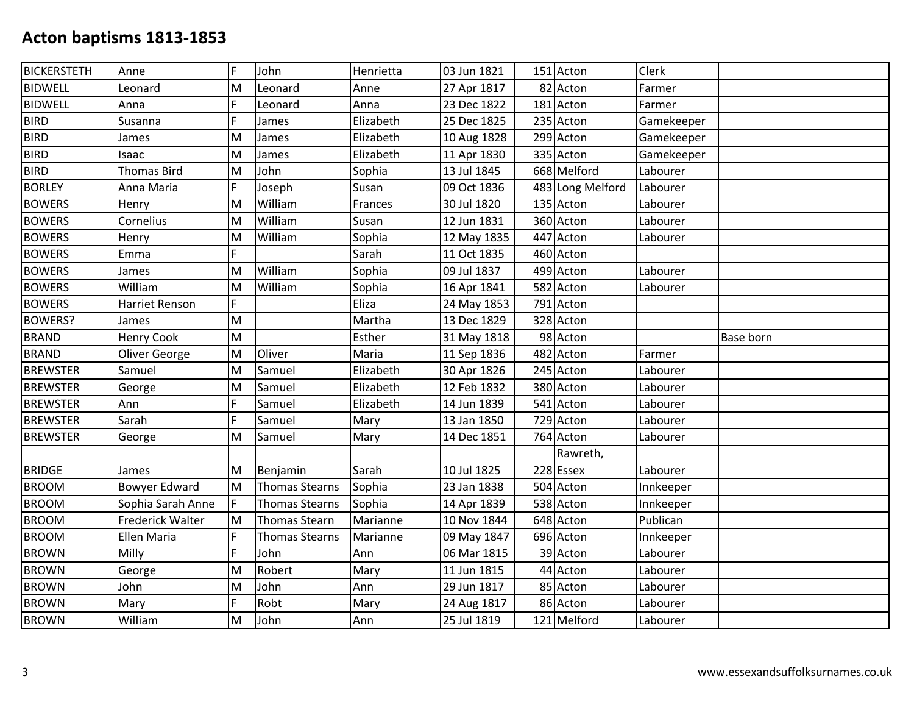| <b>BICKERSTETH</b> | Anne                    | F   | John                  | Henrietta | 03 Jun 1821 | 151 Acton        | Clerk      |           |
|--------------------|-------------------------|-----|-----------------------|-----------|-------------|------------------|------------|-----------|
| <b>BIDWELL</b>     | Leonard                 | M   | Leonard               | Anne      | 27 Apr 1817 | 82 Acton         | Farmer     |           |
| <b>BIDWELL</b>     | Anna                    | F   | Leonard               | Anna      | 23 Dec 1822 | 181 Acton        | Farmer     |           |
| <b>BIRD</b>        | Susanna                 | F   | James                 | Elizabeth | 25 Dec 1825 | 235 Acton        | Gamekeeper |           |
| <b>BIRD</b>        | James                   | M   | James                 | Elizabeth | 10 Aug 1828 | 299 Acton        | Gamekeeper |           |
| <b>BIRD</b>        | Isaac                   | M   | James                 | Elizabeth | 11 Apr 1830 | 335 Acton        | Gamekeeper |           |
| <b>BIRD</b>        | <b>Thomas Bird</b>      | M   | John                  | Sophia    | 13 Jul 1845 | 668 Melford      | Labourer   |           |
| <b>BORLEY</b>      | Anna Maria              | F   | Joseph                | Susan     | 09 Oct 1836 | 483 Long Melford | Labourer   |           |
| <b>BOWERS</b>      | Henry                   | M   | William               | Frances   | 30 Jul 1820 | 135 Acton        | Labourer   |           |
| <b>BOWERS</b>      | Cornelius               | M   | William               | Susan     | 12 Jun 1831 | 360 Acton        | Labourer   |           |
| <b>BOWERS</b>      | Henry                   | M   | William               | Sophia    | 12 May 1835 | 447 Acton        | Labourer   |           |
| <b>BOWERS</b>      | Emma                    | F.  |                       | Sarah     | 11 Oct 1835 | 460 Acton        |            |           |
| <b>BOWERS</b>      | James                   | M   | William               | Sophia    | 09 Jul 1837 | 499 Acton        | Labourer   |           |
| <b>BOWERS</b>      | William                 | M   | William               | Sophia    | 16 Apr 1841 | 582 Acton        | Labourer   |           |
| <b>BOWERS</b>      | Harriet Renson          | F   |                       | Eliza     | 24 May 1853 | 791 Acton        |            |           |
| <b>BOWERS?</b>     | James                   | M   |                       | Martha    | 13 Dec 1829 | 328 Acton        |            |           |
| <b>BRAND</b>       | <b>Henry Cook</b>       | M   |                       | Esther    | 31 May 1818 | 98 Acton         |            | Base born |
| <b>BRAND</b>       | Oliver George           | M   | Oliver                | Maria     | 11 Sep 1836 | 482 Acton        | Farmer     |           |
| <b>BREWSTER</b>    | Samuel                  | M   | Samuel                | Elizabeth | 30 Apr 1826 | 245 Acton        | Labourer   |           |
| <b>BREWSTER</b>    | George                  | M   | Samuel                | Elizabeth | 12 Feb 1832 | 380 Acton        | Labourer   |           |
| <b>BREWSTER</b>    | Ann                     | F   | Samuel                | Elizabeth | 14 Jun 1839 | 541 Acton        | Labourer   |           |
| <b>BREWSTER</b>    | Sarah                   | F   | Samuel                | Mary      | 13 Jan 1850 | 729 Acton        | Labourer   |           |
| <b>BREWSTER</b>    | George                  | M   | Samuel                | Mary      | 14 Dec 1851 | 764 Acton        | Labourer   |           |
|                    |                         |     |                       |           |             | Rawreth,         |            |           |
| <b>BRIDGE</b>      | James                   | M   | Benjamin              | Sarah     | 10 Jul 1825 | 228 Essex        | Labourer   |           |
| <b>BROOM</b>       | <b>Bowyer Edward</b>    | M   | <b>Thomas Stearns</b> | Sophia    | 23 Jan 1838 | 504 Acton        | Innkeeper  |           |
| <b>BROOM</b>       | Sophia Sarah Anne       | IF. | Thomas Stearns        | Sophia    | 14 Apr 1839 | 538 Acton        | Innkeeper  |           |
| <b>BROOM</b>       | <b>Frederick Walter</b> | M   | <b>Thomas Stearn</b>  | Marianne  | 10 Nov 1844 | 648 Acton        | Publican   |           |
| <b>BROOM</b>       | Ellen Maria             | F   | <b>Thomas Stearns</b> | Marianne  | 09 May 1847 | 696 Acton        | Innkeeper  |           |
| <b>BROWN</b>       | Milly                   | F   | John                  | Ann       | 06 Mar 1815 | 39 Acton         | Labourer   |           |
| <b>BROWN</b>       | George                  | M   | Robert                | Mary      | 11 Jun 1815 | 44 Acton         | Labourer   |           |
| <b>BROWN</b>       | John                    | M   | John                  | Ann       | 29 Jun 1817 | 85 Acton         | Labourer   |           |
| <b>BROWN</b>       | Mary                    | F   | Robt                  | Mary      | 24 Aug 1817 | 86 Acton         | Labourer   |           |
| <b>BROWN</b>       | William                 | M   | John                  | Ann       | 25 Jul 1819 | 121 Melford      | Labourer   |           |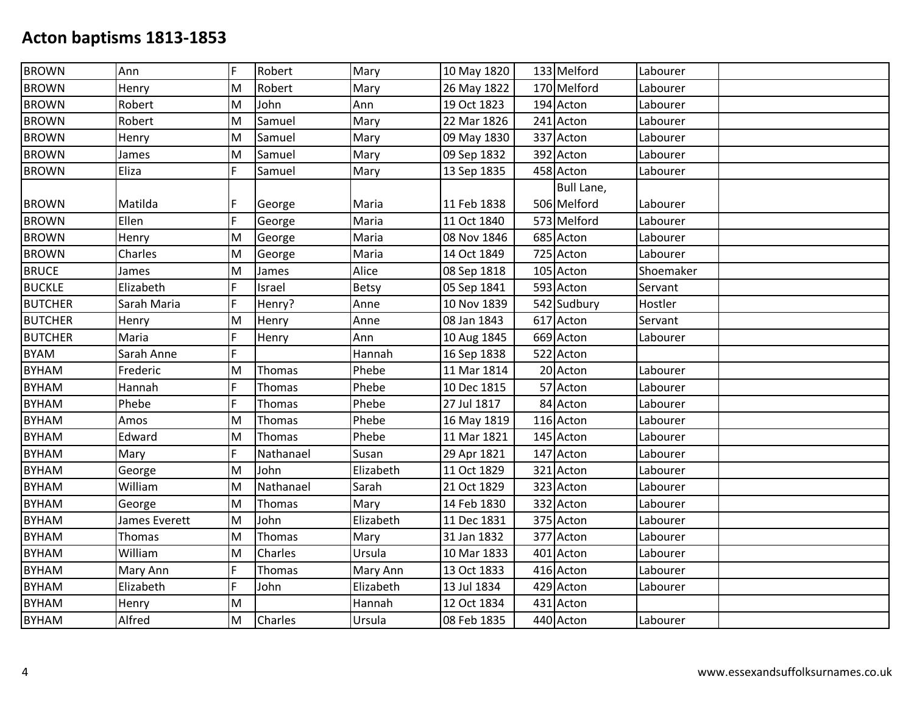| <b>BROWN</b>   | Ann           | F | Robert    | Mary         | 10 May 1820 | 133 Melford       | Labourer  |  |
|----------------|---------------|---|-----------|--------------|-------------|-------------------|-----------|--|
| <b>BROWN</b>   | Henry         | M | Robert    | Mary         | 26 May 1822 | 170 Melford       | Labourer  |  |
| <b>BROWN</b>   | Robert        | M | John      | Ann          | 19 Oct 1823 | 194 Acton         | Labourer  |  |
| <b>BROWN</b>   | Robert        | M | Samuel    | Mary         | 22 Mar 1826 | 241 Acton         | Labourer  |  |
| <b>BROWN</b>   | Henry         | M | Samuel    | Mary         | 09 May 1830 | 337 Acton         | Labourer  |  |
| <b>BROWN</b>   | James         | M | Samuel    | Mary         | 09 Sep 1832 | 392 Acton         | Labourer  |  |
| <b>BROWN</b>   | Eliza         | F | Samuel    | Mary         | 13 Sep 1835 | 458 Acton         | Labourer  |  |
|                |               |   |           |              |             | <b>Bull Lane,</b> |           |  |
| <b>BROWN</b>   | Matilda       | F | George    | Maria        | 11 Feb 1838 | 506 Melford       | Labourer  |  |
| <b>BROWN</b>   | Ellen         | F | George    | Maria        | 11 Oct 1840 | 573 Melford       | Labourer  |  |
| <b>BROWN</b>   | Henry         | M | George    | Maria        | 08 Nov 1846 | 685 Acton         | Labourer  |  |
| <b>BROWN</b>   | Charles       | M | George    | Maria        | 14 Oct 1849 | 725 Acton         | Labourer  |  |
| <b>BRUCE</b>   | James         | M | James     | Alice        | 08 Sep 1818 | 105 Acton         | Shoemaker |  |
| <b>BUCKLE</b>  | Elizabeth     | F | Israel    | <b>Betsy</b> | 05 Sep 1841 | 593 Acton         | Servant   |  |
| <b>BUTCHER</b> | Sarah Maria   | F | Henry?    | Anne         | 10 Nov 1839 | 542 Sudbury       | Hostler   |  |
| <b>BUTCHER</b> | Henry         | M | Henry     | Anne         | 08 Jan 1843 | 617 Acton         | Servant   |  |
| <b>BUTCHER</b> | Maria         | F | Henry     | Ann          | 10 Aug 1845 | 669 Acton         | Labourer  |  |
| <b>BYAM</b>    | Sarah Anne    | F |           | Hannah       | 16 Sep 1838 | 522 Acton         |           |  |
| <b>BYHAM</b>   | Frederic      | M | Thomas    | Phebe        | 11 Mar 1814 | 20 Acton          | Labourer  |  |
| <b>BYHAM</b>   | Hannah        | F | Thomas    | Phebe        | 10 Dec 1815 | 57 Acton          | Labourer  |  |
| <b>BYHAM</b>   | Phebe         | F | Thomas    | Phebe        | 27 Jul 1817 | 84 Acton          | Labourer  |  |
| <b>BYHAM</b>   | Amos          | M | Thomas    | Phebe        | 16 May 1819 | 116 Acton         | Labourer  |  |
| <b>BYHAM</b>   | Edward        | M | Thomas    | Phebe        | 11 Mar 1821 | 145 Acton         | Labourer  |  |
| <b>BYHAM</b>   | Mary          | F | Nathanael | Susan        | 29 Apr 1821 | 147 Acton         | Labourer  |  |
| <b>BYHAM</b>   | George        | M | John      | Elizabeth    | 11 Oct 1829 | 321 Acton         | Labourer  |  |
| <b>BYHAM</b>   | William       | M | Nathanael | Sarah        | 21 Oct 1829 | 323 Acton         | Labourer  |  |
| <b>BYHAM</b>   | George        | M | Thomas    | Mary         | 14 Feb 1830 | 332 Acton         | Labourer  |  |
| <b>BYHAM</b>   | James Everett | M | John      | Elizabeth    | 11 Dec 1831 | 375 Acton         | Labourer  |  |
| <b>BYHAM</b>   | Thomas        | M | Thomas    | Mary         | 31 Jan 1832 | 377 Acton         | Labourer  |  |
| <b>BYHAM</b>   | William       | M | Charles   | Ursula       | 10 Mar 1833 | 401 Acton         | Labourer  |  |
| <b>BYHAM</b>   | Mary Ann      | F | Thomas    | Mary Ann     | 13 Oct 1833 | 416 Acton         | Labourer  |  |
| <b>BYHAM</b>   | Elizabeth     | F | John      | Elizabeth    | 13 Jul 1834 | 429 Acton         | Labourer  |  |
| <b>BYHAM</b>   | Henry         | M |           | Hannah       | 12 Oct 1834 | 431 Acton         |           |  |
| <b>BYHAM</b>   | Alfred        | M | Charles   | Ursula       | 08 Feb 1835 | 440 Acton         | Labourer  |  |
|                |               |   |           |              |             |                   |           |  |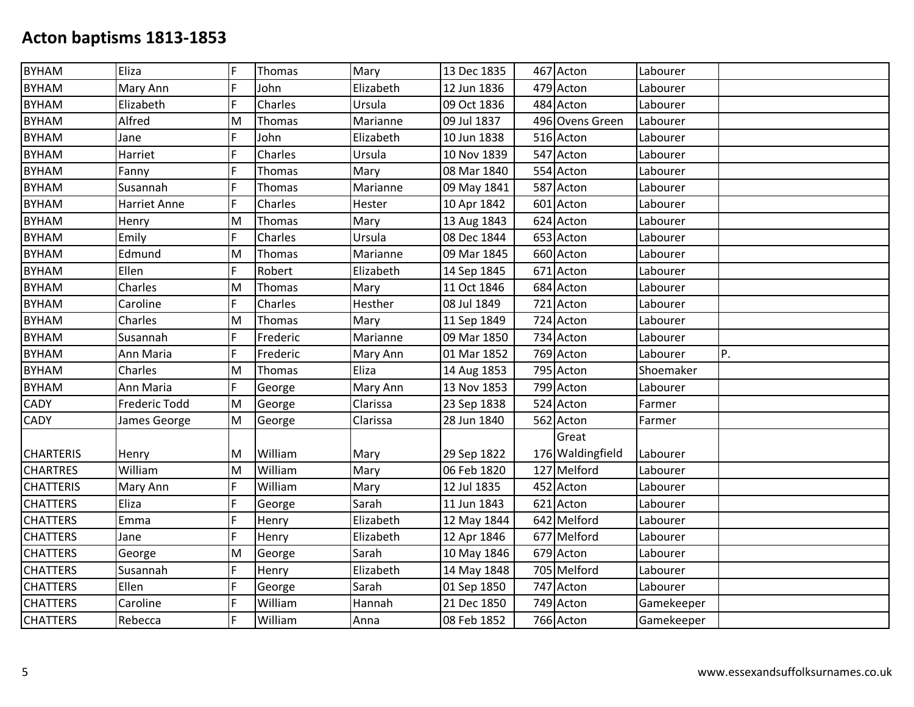| <b>BYHAM</b>     | Eliza               | F | Thomas   | Mary      | 13 Dec 1835 | 467 Acton        | Labourer   |    |
|------------------|---------------------|---|----------|-----------|-------------|------------------|------------|----|
| <b>BYHAM</b>     | Mary Ann            | F | John     | Elizabeth | 12 Jun 1836 | 479 Acton        | Labourer   |    |
| <b>BYHAM</b>     | Elizabeth           | F | Charles  | Ursula    | 09 Oct 1836 | 484 Acton        | Labourer   |    |
| <b>BYHAM</b>     | Alfred              | M | Thomas   | Marianne  | 09 Jul 1837 | 496 Ovens Green  | Labourer   |    |
| <b>BYHAM</b>     | Jane                | F | John     | Elizabeth | 10 Jun 1838 | 516 Acton        | Labourer   |    |
| <b>BYHAM</b>     | Harriet             | F | Charles  | Ursula    | 10 Nov 1839 | 547 Acton        | Labourer   |    |
| <b>BYHAM</b>     | Fanny               | F | Thomas   | Mary      | 08 Mar 1840 | 554 Acton        | Labourer   |    |
| <b>BYHAM</b>     | Susannah            | F | Thomas   | Marianne  | 09 May 1841 | 587 Acton        | Labourer   |    |
| <b>BYHAM</b>     | <b>Harriet Anne</b> | F | Charles  | Hester    | 10 Apr 1842 | 601 Acton        | Labourer   |    |
| <b>BYHAM</b>     | Henry               | M | Thomas   | Mary      | 13 Aug 1843 | 624 Acton        | Labourer   |    |
| <b>BYHAM</b>     | Emily               | F | Charles  | Ursula    | 08 Dec 1844 | 653 Acton        | Labourer   |    |
| <b>BYHAM</b>     | Edmund              | M | Thomas   | Marianne  | 09 Mar 1845 | 660 Acton        | Labourer   |    |
| <b>BYHAM</b>     | Ellen               | F | Robert   | Elizabeth | 14 Sep 1845 | 671 Acton        | Labourer   |    |
| <b>BYHAM</b>     | Charles             | M | Thomas   | Mary      | 11 Oct 1846 | 684 Acton        | Labourer   |    |
| <b>BYHAM</b>     | Caroline            | F | Charles  | Hesther   | 08 Jul 1849 | 721 Acton        | Labourer   |    |
| <b>BYHAM</b>     | Charles             | M | Thomas   | Mary      | 11 Sep 1849 | 724 Acton        | Labourer   |    |
| <b>BYHAM</b>     | Susannah            | F | Frederic | Marianne  | 09 Mar 1850 | 734 Acton        | Labourer   |    |
| <b>BYHAM</b>     | Ann Maria           | F | Frederic | Mary Ann  | 01 Mar 1852 | 769 Acton        | Labourer   | P. |
| <b>BYHAM</b>     | Charles             | M | Thomas   | Eliza     | 14 Aug 1853 | 795 Acton        | Shoemaker  |    |
| <b>BYHAM</b>     | Ann Maria           | F | George   | Mary Ann  | 13 Nov 1853 | 799 Acton        | Labourer   |    |
| CADY             | Frederic Todd       | M | George   | Clarissa  | 23 Sep 1838 | 524 Acton        | Farmer     |    |
| CADY             | James George        | M | George   | Clarissa  | 28 Jun 1840 | 562 Acton        | Farmer     |    |
|                  |                     |   |          |           |             | Great            |            |    |
| <b>CHARTERIS</b> | Henry               | M | William  | Mary      | 29 Sep 1822 | 176 Waldingfield | Labourer   |    |
| <b>CHARTRES</b>  | William             | M | William  | Mary      | 06 Feb 1820 | 127 Melford      | Labourer   |    |
| <b>CHATTERIS</b> | Mary Ann            | F | William  | Mary      | 12 Jul 1835 | 452 Acton        | Labourer   |    |
| <b>CHATTERS</b>  | Eliza               | F | George   | Sarah     | 11 Jun 1843 | 621 Acton        | Labourer   |    |
| <b>CHATTERS</b>  | Emma                | F | Henry    | Elizabeth | 12 May 1844 | 642 Melford      | Labourer   |    |
| <b>CHATTERS</b>  | Jane                | F | Henry    | Elizabeth | 12 Apr 1846 | 677 Melford      | Labourer   |    |
| <b>CHATTERS</b>  | George              | M | George   | Sarah     | 10 May 1846 | 679 Acton        | Labourer   |    |
| <b>CHATTERS</b>  | Susannah            | F | Henry    | Elizabeth | 14 May 1848 | 705 Melford      | Labourer   |    |
| <b>CHATTERS</b>  | Ellen               | F | George   | Sarah     | 01 Sep 1850 | 747 Acton        | Labourer   |    |
| <b>CHATTERS</b>  | Caroline            | F | William  | Hannah    | 21 Dec 1850 | 749 Acton        | Gamekeeper |    |
| <b>CHATTERS</b>  | Rebecca             | F | William  | Anna      | 08 Feb 1852 | 766 Acton        | Gamekeeper |    |
|                  |                     |   |          |           |             |                  |            |    |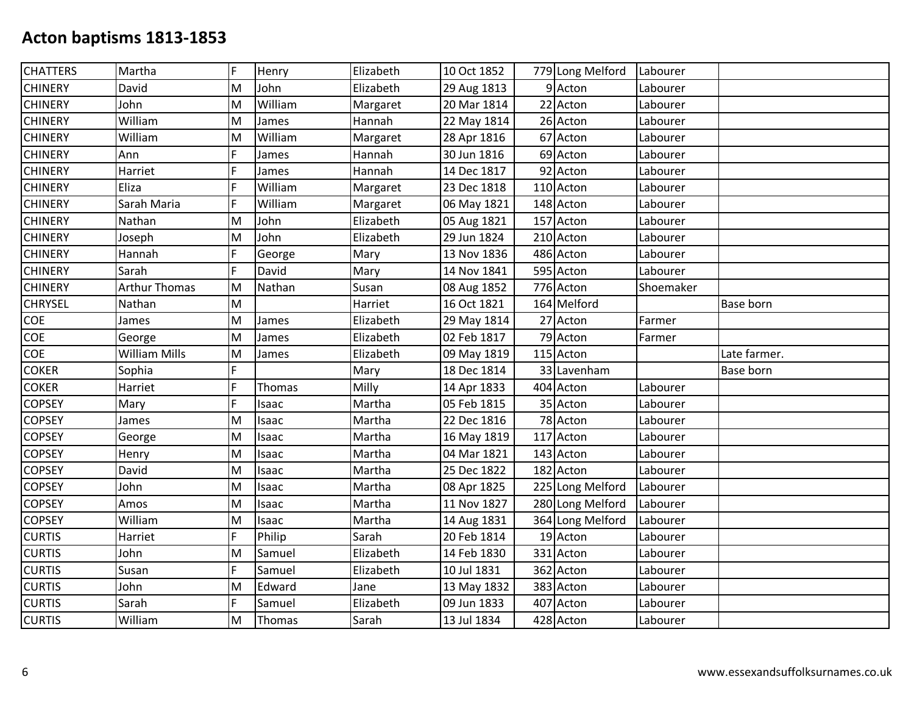| <b>CHATTERS</b> | Martha               | F  | Henry   | Elizabeth | 10 Oct 1852 | 779 Long Melford | Labourer  |                  |
|-----------------|----------------------|----|---------|-----------|-------------|------------------|-----------|------------------|
| <b>CHINERY</b>  | David                | M  | John    | Elizabeth | 29 Aug 1813 | 9 Acton          | Labourer  |                  |
| <b>CHINERY</b>  | John                 | M  | William | Margaret  | 20 Mar 1814 | 22 Acton         | Labourer  |                  |
| <b>CHINERY</b>  | William              | M  | James   | Hannah    | 22 May 1814 | 26 Acton         | Labourer  |                  |
| <b>CHINERY</b>  | William              | M  | William | Margaret  | 28 Apr 1816 | 67 Acton         | Labourer  |                  |
| <b>CHINERY</b>  | Ann                  | F  | James   | Hannah    | 30 Jun 1816 | 69 Acton         | Labourer  |                  |
| <b>CHINERY</b>  | Harriet              | F  | James   | Hannah    | 14 Dec 1817 | 92 Acton         | Labourer  |                  |
| <b>CHINERY</b>  | Eliza                | F  | William | Margaret  | 23 Dec 1818 | 110 Acton        | Labourer  |                  |
| <b>CHINERY</b>  | Sarah Maria          | F  | William | Margaret  | 06 May 1821 | 148 Acton        | Labourer  |                  |
| <b>CHINERY</b>  | Nathan               | M  | John    | Elizabeth | 05 Aug 1821 | 157 Acton        | Labourer  |                  |
| <b>CHINERY</b>  | Joseph               | M  | John    | Elizabeth | 29 Jun 1824 | 210 Acton        | Labourer  |                  |
| <b>CHINERY</b>  | Hannah               | F  | George  | Mary      | 13 Nov 1836 | 486 Acton        | Labourer  |                  |
| <b>CHINERY</b>  | Sarah                | F  | David   | Mary      | 14 Nov 1841 | 595 Acton        | Labourer  |                  |
| <b>CHINERY</b>  | <b>Arthur Thomas</b> | M  | Nathan  | Susan     | 08 Aug 1852 | 776 Acton        | Shoemaker |                  |
| <b>CHRYSEL</b>  | Nathan               | M  |         | Harriet   | 16 Oct 1821 | 164 Melford      |           | <b>Base born</b> |
| COE             | James                | M  | James   | Elizabeth | 29 May 1814 | 27 Acton         | Farmer    |                  |
| COE             | George               | M  | James   | Elizabeth | 02 Feb 1817 | 79 Acton         | Farmer    |                  |
| COE             | <b>William Mills</b> | M  | James   | Elizabeth | 09 May 1819 | 115 Acton        |           | Late farmer.     |
| <b>COKER</b>    | Sophia               | F. |         | Mary      | 18 Dec 1814 | 33 Lavenham      |           | Base born        |
| <b>COKER</b>    | Harriet              | F  | Thomas  | Milly     | 14 Apr 1833 | 404 Acton        | Labourer  |                  |
| <b>COPSEY</b>   | Mary                 | F  | Isaac   | Martha    | 05 Feb 1815 | 35 Acton         | Labourer  |                  |
| <b>COPSEY</b>   | James                | M  | Isaac   | Martha    | 22 Dec 1816 | 78 Acton         | Labourer  |                  |
| <b>COPSEY</b>   | George               | M  | Isaac   | Martha    | 16 May 1819 | 117 Acton        | Labourer  |                  |
| <b>COPSEY</b>   | Henry                | M  | Isaac   | Martha    | 04 Mar 1821 | 143 Acton        | Labourer  |                  |
| <b>COPSEY</b>   | David                | M  | Isaac   | Martha    | 25 Dec 1822 | 182 Acton        | Labourer  |                  |
| <b>COPSEY</b>   | John                 | M  | Isaac   | Martha    | 08 Apr 1825 | 225 Long Melford | Labourer  |                  |
| <b>COPSEY</b>   | Amos                 | M  | Isaac   | Martha    | 11 Nov 1827 | 280 Long Melford | Labourer  |                  |
| <b>COPSEY</b>   | William              | M  | Isaac   | Martha    | 14 Aug 1831 | 364 Long Melford | Labourer  |                  |
| <b>CURTIS</b>   | Harriet              | F  | Philip  | Sarah     | 20 Feb 1814 | 19 Acton         | Labourer  |                  |
| <b>CURTIS</b>   | John                 | M  | Samuel  | Elizabeth | 14 Feb 1830 | 331 Acton        | Labourer  |                  |
| <b>CURTIS</b>   | Susan                | F  | Samuel  | Elizabeth | 10 Jul 1831 | 362 Acton        | Labourer  |                  |
| <b>CURTIS</b>   | John                 | M  | Edward  | Jane      | 13 May 1832 | 383 Acton        | Labourer  |                  |
| <b>CURTIS</b>   | Sarah                | F  | Samuel  | Elizabeth | 09 Jun 1833 | 407 Acton        | Labourer  |                  |
| <b>CURTIS</b>   | William              | M  | Thomas  | Sarah     | 13 Jul 1834 | 428 Acton        | Labourer  |                  |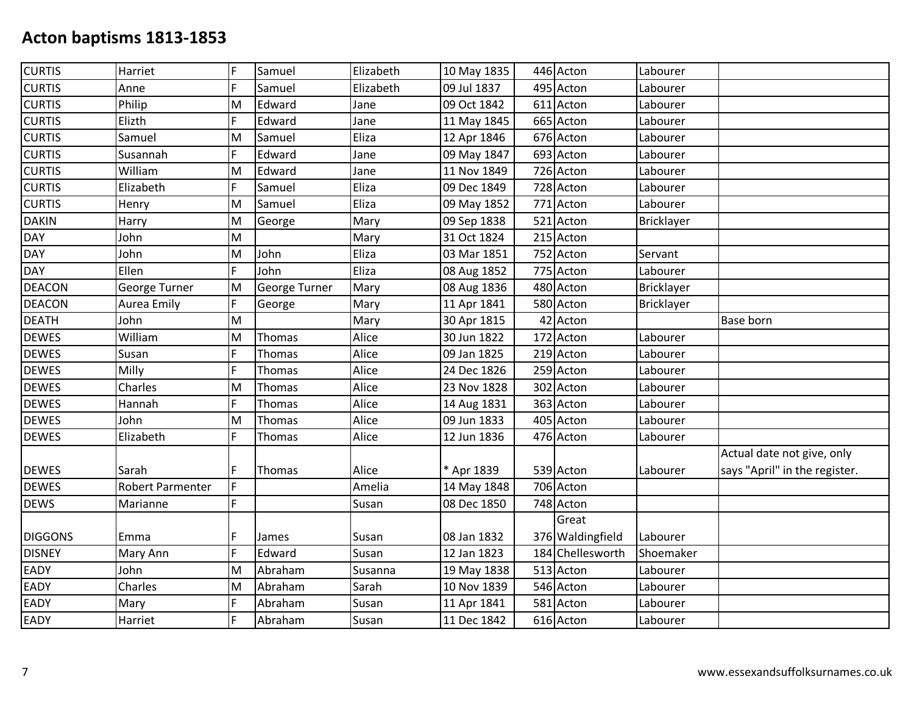| <b>CURTIS</b>  | Harriet                 | F  | Samuel        | Elizabeth | 10 May 1835 | 446 Acton        | Labourer   |                               |
|----------------|-------------------------|----|---------------|-----------|-------------|------------------|------------|-------------------------------|
| <b>CURTIS</b>  | Anne                    | F  | Samuel        | Elizabeth | 09 Jul 1837 | 495 Acton        | Labourer   |                               |
| <b>CURTIS</b>  | Philip                  | M  | Edward        | Jane      | 09 Oct 1842 | 611 Acton        | Labourer   |                               |
| <b>CURTIS</b>  | Elizth                  | F  | Edward        | Jane      | 11 May 1845 | 665 Acton        | Labourer   |                               |
| <b>CURTIS</b>  | Samuel                  | M  | Samuel        | Eliza     | 12 Apr 1846 | 676 Acton        | Labourer   |                               |
| <b>CURTIS</b>  | Susannah                | F  | Edward        | Jane      | 09 May 1847 | 693 Acton        | Labourer   |                               |
| <b>CURTIS</b>  | William                 | M  | Edward        | Jane      | 11 Nov 1849 | 726 Acton        | Labourer   |                               |
| <b>CURTIS</b>  | Elizabeth               | F  | Samuel        | Eliza     | 09 Dec 1849 | 728 Acton        | Labourer   |                               |
| <b>CURTIS</b>  | Henry                   | M  | Samuel        | Eliza     | 09 May 1852 | 771 Acton        | Labourer   |                               |
| <b>DAKIN</b>   | Harry                   | M  | George        | Mary      | 09 Sep 1838 | 521 Acton        | Bricklayer |                               |
| <b>DAY</b>     | John                    | M  |               | Mary      | 31 Oct 1824 | 215 Acton        |            |                               |
| <b>DAY</b>     | John                    | M  | John          | Eliza     | 03 Mar 1851 | 752 Acton        | Servant    |                               |
| DAY            | Ellen                   | F  | John          | Eliza     | 08 Aug 1852 | 775 Acton        | Labourer   |                               |
| <b>DEACON</b>  | George Turner           | M  | George Turner | Mary      | 08 Aug 1836 | 480 Acton        | Bricklayer |                               |
| <b>DEACON</b>  | Aurea Emily             | F  | George        | Mary      | 11 Apr 1841 | 580 Acton        | Bricklayer |                               |
| <b>DEATH</b>   | John                    | M  |               | Mary      | 30 Apr 1815 | 42 Acton         |            | Base born                     |
| <b>DEWES</b>   | William                 | M  | Thomas        | Alice     | 30 Jun 1822 | 172 Acton        | Labourer   |                               |
| <b>DEWES</b>   | Susan                   | F  | Thomas        | Alice     | 09 Jan 1825 | 219 Acton        | Labourer   |                               |
| <b>DEWES</b>   | Milly                   | F  | Thomas        | Alice     | 24 Dec 1826 | 259 Acton        | Labourer   |                               |
| <b>DEWES</b>   | Charles                 | M  | Thomas        | Alice     | 23 Nov 1828 | 302 Acton        | Labourer   |                               |
| <b>DEWES</b>   | Hannah                  | F  | Thomas        | Alice     | 14 Aug 1831 | 363 Acton        | Labourer   |                               |
| <b>DEWES</b>   | John                    | M  | Thomas        | Alice     | 09 Jun 1833 | 405 Acton        | Labourer   |                               |
| <b>DEWES</b>   | Elizabeth               | F  | Thomas        | Alice     | 12 Jun 1836 | 476 Acton        | Labourer   |                               |
|                |                         |    |               |           |             |                  |            | Actual date not give, only    |
| <b>DEWES</b>   | Sarah                   | F  | Thomas        | Alice     | * Apr 1839  | 539 Acton        | Labourer   | says "April" in the register. |
| <b>DEWES</b>   | <b>Robert Parmenter</b> | F  |               | Amelia    | 14 May 1848 | 706 Acton        |            |                               |
| <b>DEWS</b>    | Marianne                | F. |               | Susan     | 08 Dec 1850 | 748 Acton        |            |                               |
|                |                         |    |               |           |             | Great            |            |                               |
| <b>DIGGONS</b> | Emma                    | F  | James         | Susan     | 08 Jan 1832 | 376 Waldingfield | Labourer   |                               |
| <b>DISNEY</b>  | Mary Ann                | Ë  | Edward        | Susan     | 12 Jan 1823 | 184 Chellesworth | Shoemaker  |                               |
| <b>EADY</b>    | John                    | M  | Abraham       | Susanna   | 19 May 1838 | 513 Acton        | Labourer   |                               |
| EADY           | Charles                 | M  | Abraham       | Sarah     | 10 Nov 1839 | 546 Acton        | Labourer   |                               |
| EADY           | Mary                    | F  | Abraham       | Susan     | 11 Apr 1841 | 581 Acton        | Labourer   |                               |
| <b>EADY</b>    | Harriet                 | F  | Abraham       | Susan     | 11 Dec 1842 | 616 Acton        | Labourer   |                               |
|                |                         |    |               |           |             |                  |            |                               |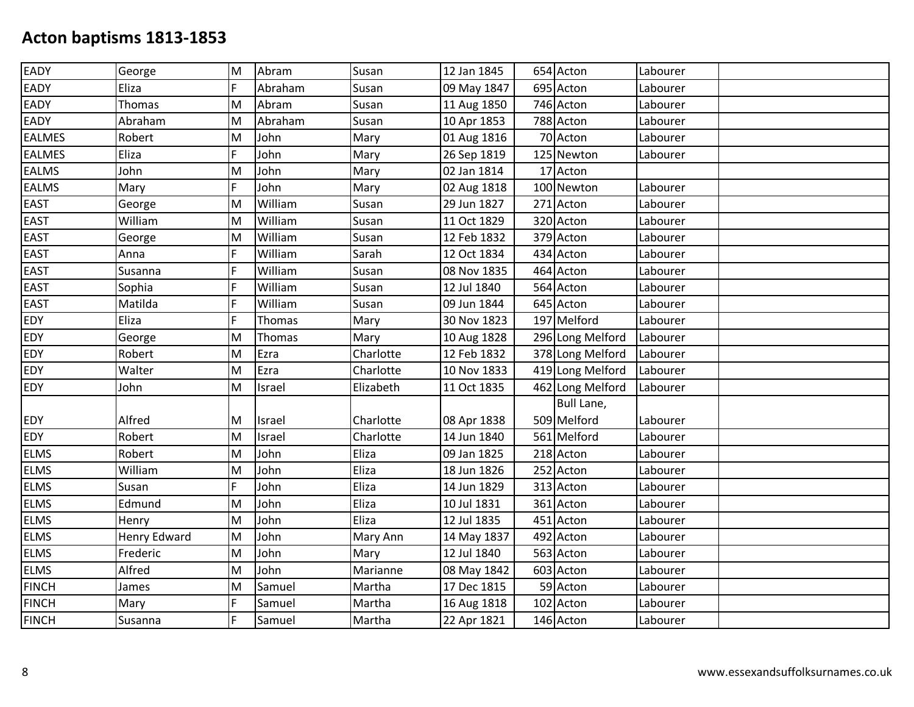| EADY          | George              | M | Abram   | Susan     | 12 Jan 1845 | 654 Acton        | Labourer |  |
|---------------|---------------------|---|---------|-----------|-------------|------------------|----------|--|
| EADY          | Eliza               | F | Abraham | Susan     | 09 May 1847 | 695 Acton        | Labourer |  |
| EADY          | Thomas              | M | Abram   | Susan     | 11 Aug 1850 | 746 Acton        | Labourer |  |
| <b>EADY</b>   | Abraham             | M | Abraham | Susan     | 10 Apr 1853 | 788 Acton        | Labourer |  |
| <b>EALMES</b> | Robert              | M | John    | Mary      | 01 Aug 1816 | 70 Acton         | Labourer |  |
| <b>EALMES</b> | Eliza               | F | John    | Mary      | 26 Sep 1819 | 125 Newton       | Labourer |  |
| <b>EALMS</b>  | John                | M | John    | Mary      | 02 Jan 1814 | 17 Acton         |          |  |
| <b>EALMS</b>  | Mary                | F | John    | Mary      | 02 Aug 1818 | 100 Newton       | Labourer |  |
| <b>EAST</b>   | George              | M | William | Susan     | 29 Jun 1827 | 271 Acton        | Labourer |  |
| <b>EAST</b>   | William             | M | William | Susan     | 11 Oct 1829 | 320 Acton        | Labourer |  |
| <b>EAST</b>   | George              | M | William | Susan     | 12 Feb 1832 | 379 Acton        | Labourer |  |
| <b>EAST</b>   | Anna                | F | William | Sarah     | 12 Oct 1834 | 434 Acton        | Labourer |  |
| <b>EAST</b>   | Susanna             | F | William | Susan     | 08 Nov 1835 | 464 Acton        | Labourer |  |
| <b>EAST</b>   | Sophia              | Ē | William | Susan     | 12 Jul 1840 | 564 Acton        | Labourer |  |
| <b>EAST</b>   | Matilda             | F | William | Susan     | 09 Jun 1844 | 645 Acton        | Labourer |  |
| EDY           | Eliza               | F | Thomas  | Mary      | 30 Nov 1823 | 197 Melford      | Labourer |  |
| <b>EDY</b>    | George              | M | Thomas  | Mary      | 10 Aug 1828 | 296 Long Melford | Labourer |  |
| <b>EDY</b>    | Robert              | M | Ezra    | Charlotte | 12 Feb 1832 | 378 Long Melford | Labourer |  |
| EDY           | Walter              | M | Ezra    | Charlotte | 10 Nov 1833 | 419 Long Melford | Labourer |  |
| <b>EDY</b>    | John                | M | Israel  | Elizabeth | 11 Oct 1835 | 462 Long Melford | Labourer |  |
|               |                     |   |         |           |             | Bull Lane,       |          |  |
| <b>EDY</b>    | Alfred              | M | Israel  | Charlotte | 08 Apr 1838 | 509 Melford      | Labourer |  |
| <b>EDY</b>    | Robert              | M | Israel  | Charlotte | 14 Jun 1840 | 561 Melford      | Labourer |  |
| <b>ELMS</b>   | Robert              | M | John    | Eliza     | 09 Jan 1825 | 218 Acton        | Labourer |  |
| <b>ELMS</b>   | William             | M | John    | Eliza     | 18 Jun 1826 | 252 Acton        | Labourer |  |
| <b>ELMS</b>   | Susan               | F | John    | Eliza     | 14 Jun 1829 | 313 Acton        | Labourer |  |
| <b>ELMS</b>   | Edmund              | M | John    | Eliza     | 10 Jul 1831 | 361 Acton        | Labourer |  |
| <b>ELMS</b>   | Henry               | M | John    | Eliza     | 12 Jul 1835 | 451 Acton        | Labourer |  |
| <b>ELMS</b>   | <b>Henry Edward</b> | M | John    | Mary Ann  | 14 May 1837 | 492 Acton        | Labourer |  |
| <b>ELMS</b>   | Frederic            | M | John    | Mary      | 12 Jul 1840 | 563 Acton        | Labourer |  |
| <b>ELMS</b>   | Alfred              | M | John    | Marianne  | 08 May 1842 | 603 Acton        | Labourer |  |
| <b>FINCH</b>  | James               | M | Samuel  | Martha    | 17 Dec 1815 | 59 Acton         | Labourer |  |
| <b>FINCH</b>  | Mary                | F | Samuel  | Martha    | 16 Aug 1818 | 102 Acton        | Labourer |  |
| <b>FINCH</b>  | Susanna             | F | Samuel  | Martha    | 22 Apr 1821 | 146 Acton        | Labourer |  |
|               |                     |   |         |           |             |                  |          |  |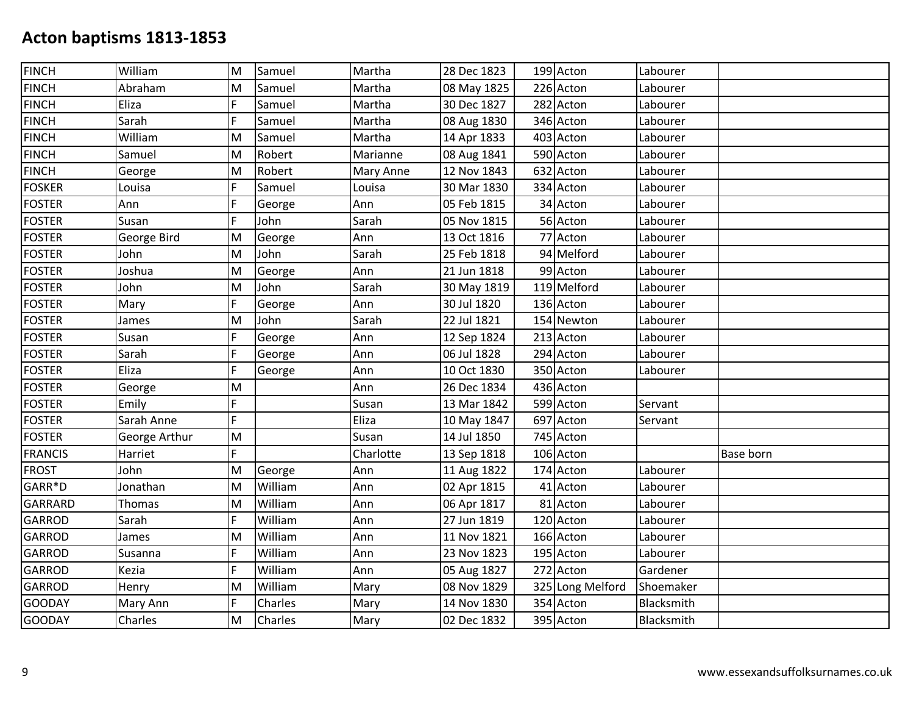| <b>FINCH</b>   | William       | M  | Samuel  | Martha    | 28 Dec 1823 | 199 Acton        | Labourer   |                  |
|----------------|---------------|----|---------|-----------|-------------|------------------|------------|------------------|
| <b>FINCH</b>   | Abraham       | M  | Samuel  | Martha    | 08 May 1825 | 226 Acton        | Labourer   |                  |
| <b>FINCH</b>   | Eliza         | F  | Samuel  | Martha    | 30 Dec 1827 | 282 Acton        | Labourer   |                  |
| <b>FINCH</b>   | Sarah         | F  | Samuel  | Martha    | 08 Aug 1830 | 346 Acton        | Labourer   |                  |
| <b>FINCH</b>   | William       | M  | Samuel  | Martha    | 14 Apr 1833 | 403 Acton        | Labourer   |                  |
| <b>FINCH</b>   | Samuel        | M  | Robert  | Marianne  | 08 Aug 1841 | 590 Acton        | Labourer   |                  |
| <b>FINCH</b>   | George        | Iм | Robert  | Mary Anne | 12 Nov 1843 | 632 Acton        | Labourer   |                  |
| <b>FOSKER</b>  | Louisa        | F  | Samuel  | Louisa    | 30 Mar 1830 | 334 Acton        | Labourer   |                  |
| <b>FOSTER</b>  | Ann           | F  | George  | Ann       | 05 Feb 1815 | 34 Acton         | Labourer   |                  |
| <b>FOSTER</b>  | Susan         | F  | John    | Sarah     | 05 Nov 1815 | 56 Acton         | Labourer   |                  |
| <b>FOSTER</b>  | George Bird   | Iм | George  | Ann       | 13 Oct 1816 | 77 Acton         | Labourer   |                  |
| <b>FOSTER</b>  | John          | M  | John    | Sarah     | 25 Feb 1818 | 94 Melford       | Labourer   |                  |
| <b>FOSTER</b>  | Joshua        | Iм | George  | Ann       | 21 Jun 1818 | 99 Acton         | Labourer   |                  |
| <b>FOSTER</b>  | John          | M  | John    | Sarah     | 30 May 1819 | 119 Melford      | Labourer   |                  |
| <b>FOSTER</b>  | Mary          | F  | George  | Ann       | 30 Jul 1820 | 136 Acton        | Labourer   |                  |
| <b>FOSTER</b>  | James         | M  | John    | Sarah     | 22 Jul 1821 | 154 Newton       | Labourer   |                  |
| <b>FOSTER</b>  | Susan         | F  | George  | Ann       | 12 Sep 1824 | 213 Acton        | Labourer   |                  |
| <b>FOSTER</b>  | Sarah         | F  | George  | Ann       | 06 Jul 1828 | 294 Acton        | Labourer   |                  |
| <b>FOSTER</b>  | Eliza         | F  | George  | Ann       | 10 Oct 1830 | 350 Acton        | Labourer   |                  |
| <b>FOSTER</b>  | George        | M  |         | Ann       | 26 Dec 1834 | 436 Acton        |            |                  |
| <b>FOSTER</b>  | Emily         | F  |         | Susan     | 13 Mar 1842 | 599 Acton        | Servant    |                  |
| <b>FOSTER</b>  | Sarah Anne    | F  |         | Eliza     | 10 May 1847 | 697 Acton        | Servant    |                  |
| <b>FOSTER</b>  | George Arthur | M  |         | Susan     | 14 Jul 1850 | 745 Acton        |            |                  |
| <b>FRANCIS</b> | Harriet       | F  |         | Charlotte | 13 Sep 1818 | 106 Acton        |            | <b>Base born</b> |
| <b>FROST</b>   | John          | M  | George  | Ann       | 11 Aug 1822 | 174 Acton        | Labourer   |                  |
| GARR*D         | Jonathan      | M  | William | Ann       | 02 Apr 1815 | 41 Acton         | Labourer   |                  |
| <b>GARRARD</b> | Thomas        | M  | William | Ann       | 06 Apr 1817 | 81 Acton         | Labourer   |                  |
| <b>GARROD</b>  | Sarah         | F  | William | Ann       | 27 Jun 1819 | 120 Acton        | Labourer   |                  |
| <b>GARROD</b>  | James         | Iм | William | Ann       | 11 Nov 1821 | 166 Acton        | Labourer   |                  |
| <b>GARROD</b>  | Susanna       | F  | William | Ann       | 23 Nov 1823 | 195 Acton        | Labourer   |                  |
| <b>GARROD</b>  | Kezia         | F  | William | Ann       | 05 Aug 1827 | 272 Acton        | Gardener   |                  |
| <b>GARROD</b>  | Henry         | M  | William | Mary      | 08 Nov 1829 | 325 Long Melford | Shoemaker  |                  |
| <b>GOODAY</b>  | Mary Ann      | F  | Charles | Mary      | 14 Nov 1830 | 354 Acton        | Blacksmith |                  |
| <b>GOODAY</b>  | Charles       | M  | Charles | Mary      | 02 Dec 1832 | 395 Acton        | Blacksmith |                  |
|                |               |    |         |           |             |                  |            |                  |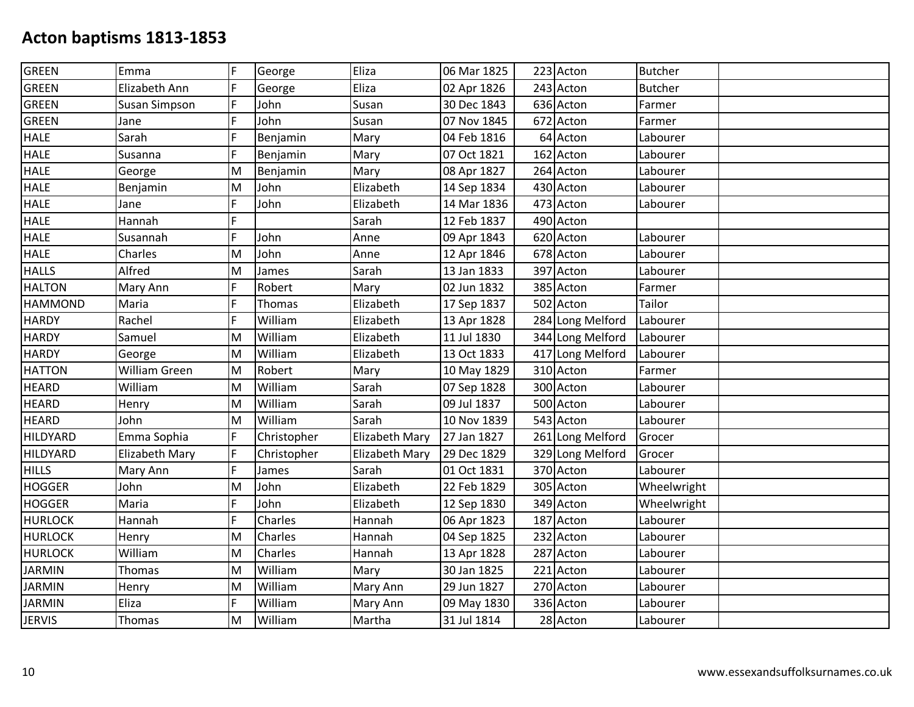| Emma                 | F   | George      | Eliza                 | 06 Mar 1825 |             | <b>Butcher</b>                                                                                                                                                                                                                                                                                                                                                                                                                                                                          |          |
|----------------------|-----|-------------|-----------------------|-------------|-------------|-----------------------------------------------------------------------------------------------------------------------------------------------------------------------------------------------------------------------------------------------------------------------------------------------------------------------------------------------------------------------------------------------------------------------------------------------------------------------------------------|----------|
| Elizabeth Ann        | lF. | George      | Eliza                 | 02 Apr 1826 |             | <b>Butcher</b>                                                                                                                                                                                                                                                                                                                                                                                                                                                                          |          |
| <b>Susan Simpson</b> | F   | John        | Susan                 | 30 Dec 1843 |             | Farmer                                                                                                                                                                                                                                                                                                                                                                                                                                                                                  |          |
| Jane                 | F   | John        | Susan                 | 07 Nov 1845 |             | Farmer                                                                                                                                                                                                                                                                                                                                                                                                                                                                                  |          |
| Sarah                | F   | Benjamin    | Mary                  | 04 Feb 1816 |             | Labourer                                                                                                                                                                                                                                                                                                                                                                                                                                                                                |          |
| Susanna              | F   | Benjamin    | Mary                  | 07 Oct 1821 |             | Labourer                                                                                                                                                                                                                                                                                                                                                                                                                                                                                |          |
| George               | M   | Benjamin    | Mary                  | 08 Apr 1827 |             | Labourer                                                                                                                                                                                                                                                                                                                                                                                                                                                                                |          |
| Benjamin             | M   | John        | Elizabeth             | 14 Sep 1834 |             | Labourer                                                                                                                                                                                                                                                                                                                                                                                                                                                                                |          |
| Jane                 | F   | John        | Elizabeth             | 14 Mar 1836 |             | Labourer                                                                                                                                                                                                                                                                                                                                                                                                                                                                                |          |
| Hannah               | F   |             | Sarah                 | 12 Feb 1837 |             |                                                                                                                                                                                                                                                                                                                                                                                                                                                                                         |          |
| Susannah             | F   | John        | Anne                  | 09 Apr 1843 |             | Labourer                                                                                                                                                                                                                                                                                                                                                                                                                                                                                |          |
| Charles              | M   | John        | Anne                  | 12 Apr 1846 |             | Labourer                                                                                                                                                                                                                                                                                                                                                                                                                                                                                |          |
| Alfred               | M   | James       | Sarah                 | 13 Jan 1833 |             | Labourer                                                                                                                                                                                                                                                                                                                                                                                                                                                                                |          |
| Mary Ann             | F   | Robert      | Mary                  | 02 Jun 1832 |             | Farmer                                                                                                                                                                                                                                                                                                                                                                                                                                                                                  |          |
| Maria                | F   | Thomas      | Elizabeth             | 17 Sep 1837 |             | Tailor                                                                                                                                                                                                                                                                                                                                                                                                                                                                                  |          |
| Rachel               | F   | William     | Elizabeth             | 13 Apr 1828 |             | Labourer                                                                                                                                                                                                                                                                                                                                                                                                                                                                                |          |
| Samuel               | M   | William     | Elizabeth             | 11 Jul 1830 |             | Labourer                                                                                                                                                                                                                                                                                                                                                                                                                                                                                |          |
| George               | M   | William     | Elizabeth             | 13 Oct 1833 |             |                                                                                                                                                                                                                                                                                                                                                                                                                                                                                         |          |
| <b>William Green</b> | M   | Robert      | Mary                  | 10 May 1829 |             | Farmer                                                                                                                                                                                                                                                                                                                                                                                                                                                                                  |          |
| William              | M   | William     | Sarah                 | 07 Sep 1828 |             | Labourer                                                                                                                                                                                                                                                                                                                                                                                                                                                                                |          |
| Henry                | M   | William     | Sarah                 | 09 Jul 1837 |             | Labourer                                                                                                                                                                                                                                                                                                                                                                                                                                                                                |          |
| John                 | M   | William     | Sarah                 | 10 Nov 1839 |             | Labourer                                                                                                                                                                                                                                                                                                                                                                                                                                                                                |          |
| Emma Sophia          | F   | Christopher | Elizabeth Mary        | 27 Jan 1827 |             | Grocer                                                                                                                                                                                                                                                                                                                                                                                                                                                                                  |          |
| Elizabeth Mary       | F   | Christopher | <b>Elizabeth Mary</b> | 29 Dec 1829 |             | Grocer                                                                                                                                                                                                                                                                                                                                                                                                                                                                                  |          |
| Mary Ann             | F   | James       | Sarah                 |             |             | Labourer                                                                                                                                                                                                                                                                                                                                                                                                                                                                                |          |
| John                 | M   | John        | Elizabeth             | 22 Feb 1829 |             | Wheelwright                                                                                                                                                                                                                                                                                                                                                                                                                                                                             |          |
| Maria                | F   | John        | Elizabeth             | 12 Sep 1830 |             | Wheelwright                                                                                                                                                                                                                                                                                                                                                                                                                                                                             |          |
| Hannah               | F   | Charles     | Hannah                | 06 Apr 1823 |             | Labourer                                                                                                                                                                                                                                                                                                                                                                                                                                                                                |          |
| Henry                | M   | Charles     | Hannah                | 04 Sep 1825 |             | Labourer                                                                                                                                                                                                                                                                                                                                                                                                                                                                                |          |
| William              | M   | Charles     | Hannah                | 13 Apr 1828 |             | Labourer                                                                                                                                                                                                                                                                                                                                                                                                                                                                                |          |
| Thomas               | M   | William     | Mary                  | 30 Jan 1825 |             | Labourer                                                                                                                                                                                                                                                                                                                                                                                                                                                                                |          |
| Henry                | M   | William     | Mary Ann              | 29 Jun 1827 |             | Labourer                                                                                                                                                                                                                                                                                                                                                                                                                                                                                |          |
| Eliza                | F   | William     | Mary Ann              | 09 May 1830 |             | Labourer                                                                                                                                                                                                                                                                                                                                                                                                                                                                                |          |
| Thomas               | M   | William     | Martha                | 31 Jul 1814 |             | Labourer                                                                                                                                                                                                                                                                                                                                                                                                                                                                                |          |
|                      |     |             |                       |             | 01 Oct 1831 | 223 Acton<br>243 Acton<br>636 Acton<br>672 Acton<br>64 Acton<br>162 Acton<br>264 Acton<br>430 Acton<br>473 Acton<br>490 Acton<br>620 Acton<br>678 Acton<br>397 Acton<br>385 Acton<br>502 Acton<br>284 Long Melford<br>344 Long Melford<br>417 Long Melford<br>310 Acton<br>300 Acton<br>500 Acton<br>543 Acton<br>261 Long Melford<br>329 Long Melford<br>370 Acton<br>305 Acton<br>349 Acton<br>187 Acton<br>232 Acton<br>287 Acton<br>221 Acton<br>270 Acton<br>336 Acton<br>28 Acton | Labourer |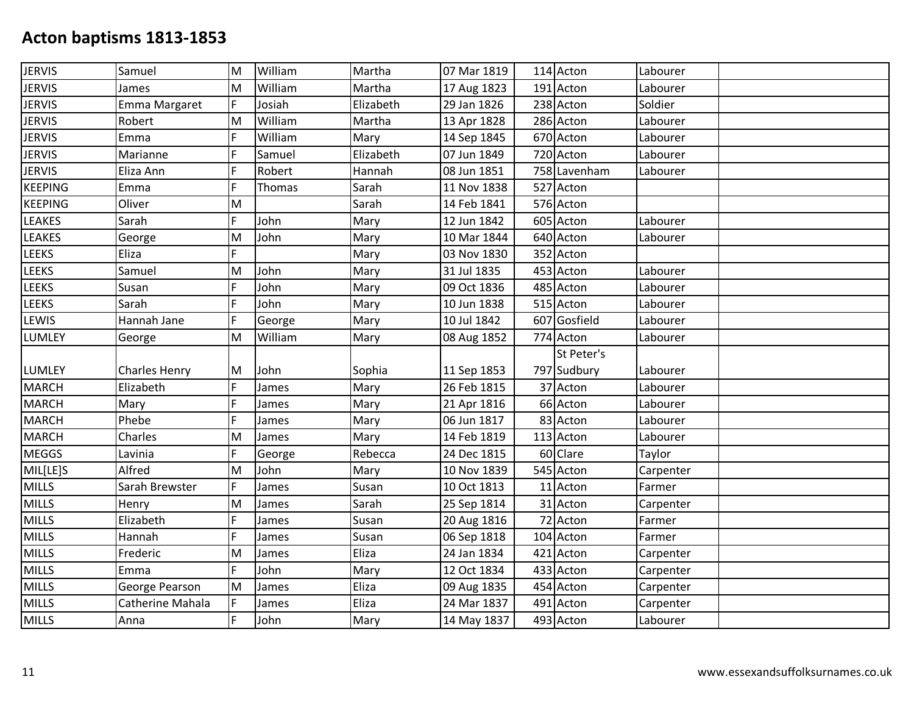| <b>JERVIS</b>  | Samuel               | M | William | Martha    | 07 Mar 1819 | 114 Acton    | Labourer  |  |
|----------------|----------------------|---|---------|-----------|-------------|--------------|-----------|--|
| <b>JERVIS</b>  | James                | M | William | Martha    | 17 Aug 1823 | 191 Acton    | Labourer  |  |
| <b>JERVIS</b>  | Emma Margaret        | F | Josiah  | Elizabeth | 29 Jan 1826 | 238 Acton    | Soldier   |  |
| <b>JERVIS</b>  | Robert               | M | William | Martha    | 13 Apr 1828 | 286 Acton    | Labourer  |  |
| <b>JERVIS</b>  | Emma                 | F | William | Mary      | 14 Sep 1845 | 670 Acton    | Labourer  |  |
| <b>JERVIS</b>  | Marianne             | F | Samuel  | Elizabeth | 07 Jun 1849 | 720 Acton    | Labourer  |  |
| <b>JERVIS</b>  | Eliza Ann            | F | Robert  | Hannah    | 08 Jun 1851 | 758 Lavenham | Labourer  |  |
| <b>KEEPING</b> | Emma                 | F | Thomas  | Sarah     | 11 Nov 1838 | 527 Acton    |           |  |
| <b>KEEPING</b> | Oliver               | M |         | Sarah     | 14 Feb 1841 | 576 Acton    |           |  |
| <b>LEAKES</b>  | Sarah                | F | John    | Mary      | 12 Jun 1842 | 605 Acton    | Labourer  |  |
| <b>LEAKES</b>  | George               | M | John    | Mary      | 10 Mar 1844 | 640 Acton    | Labourer  |  |
| LEEKS          | Eliza                | F |         | Mary      | 03 Nov 1830 | 352 Acton    |           |  |
| <b>LEEKS</b>   | Samuel               | M | John    | Mary      | 31 Jul 1835 | 453 Acton    | Labourer  |  |
| <b>LEEKS</b>   | Susan                | F | John    | Mary      | 09 Oct 1836 | 485 Acton    | Labourer  |  |
| LEEKS          | Sarah                | F | John    | Mary      | 10 Jun 1838 | 515 Acton    | Labourer  |  |
| LEWIS          | Hannah Jane          | F | George  | Mary      | 10 Jul 1842 | 607 Gosfield | Labourer  |  |
| <b>LUMLEY</b>  | George               | M | William | Mary      | 08 Aug 1852 | 774 Acton    | Labourer  |  |
|                |                      |   |         |           |             | St Peter's   |           |  |
| <b>LUMLEY</b>  | <b>Charles Henry</b> | M | John    | Sophia    | 11 Sep 1853 | 797 Sudbury  | Labourer  |  |
| <b>MARCH</b>   | Elizabeth            | F | James   | Mary      | 26 Feb 1815 | 37 Acton     | Labourer  |  |
| <b>MARCH</b>   | Mary                 | F | James   | Mary      | 21 Apr 1816 | 66 Acton     | Labourer  |  |
| <b>MARCH</b>   | Phebe                | F | James   | Mary      | 06 Jun 1817 | 83 Acton     | Labourer  |  |
| <b>MARCH</b>   | Charles              | M | James   | Mary      | 14 Feb 1819 | 113 Acton    | Labourer  |  |
| <b>MEGGS</b>   | Lavinia              | F | George  | Rebecca   | 24 Dec 1815 | 60 Clare     | Taylor    |  |
| MIL[LE]S       | Alfred               | M | John    | Mary      | 10 Nov 1839 | 545 Acton    | Carpenter |  |
| <b>MILLS</b>   | Sarah Brewster       | F | James   | Susan     | 10 Oct 1813 | 11 Acton     | Farmer    |  |
| <b>MILLS</b>   | Henry                | M | James   | Sarah     | 25 Sep 1814 | 31 Acton     | Carpenter |  |
| <b>MILLS</b>   | Elizabeth            | F | James   | Susan     | 20 Aug 1816 | 72 Acton     | Farmer    |  |
| <b>MILLS</b>   | Hannah               | F | James   | Susan     | 06 Sep 1818 | 104 Acton    | Farmer    |  |
| <b>MILLS</b>   | Frederic             | M | James   | Eliza     | 24 Jan 1834 | 421 Acton    | Carpenter |  |
| <b>MILLS</b>   | Emma                 | F | John    | Mary      | 12 Oct 1834 | 433 Acton    | Carpenter |  |
| <b>MILLS</b>   | George Pearson       | M | James   | Eliza     | 09 Aug 1835 | 454 Acton    | Carpenter |  |
| <b>MILLS</b>   | Catherine Mahala     | F | James   | Eliza     | 24 Mar 1837 | 491 Acton    | Carpenter |  |
| <b>MILLS</b>   | Anna                 | F | John    | Mary      | 14 May 1837 | 493 Acton    | Labourer  |  |
|                |                      |   |         |           |             |              |           |  |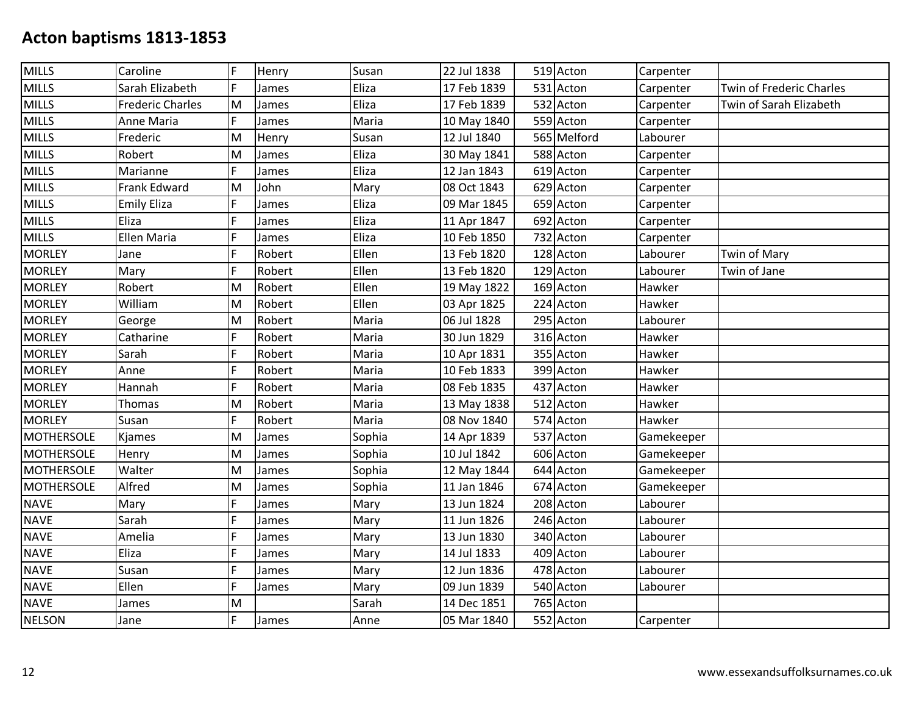| <b>MILLS</b>      | Caroline                | F  | Henry  | Susan  | 22 Jul 1838 | 519 Acton   | Carpenter  |                          |
|-------------------|-------------------------|----|--------|--------|-------------|-------------|------------|--------------------------|
| <b>MILLS</b>      | Sarah Elizabeth         | F  | James  | Eliza  | 17 Feb 1839 | 531 Acton   | Carpenter  | Twin of Frederic Charles |
| <b>MILLS</b>      | <b>Frederic Charles</b> | M  | James  | Eliza  | 17 Feb 1839 | 532 Acton   | Carpenter  | Twin of Sarah Elizabeth  |
| <b>MILLS</b>      | Anne Maria              | F  | James  | Maria  | 10 May 1840 | 559 Acton   | Carpenter  |                          |
| <b>MILLS</b>      | Frederic                | M  | Henry  | Susan  | 12 Jul 1840 | 565 Melford | Labourer   |                          |
| <b>MILLS</b>      | Robert                  | M  | James  | Eliza  | 30 May 1841 | 588 Acton   | Carpenter  |                          |
| <b>MILLS</b>      | Marianne                | F. | James  | Eliza  | 12 Jan 1843 | 619 Acton   | Carpenter  |                          |
| <b>MILLS</b>      | Frank Edward            | M  | John   | Mary   | 08 Oct 1843 | 629 Acton   | Carpenter  |                          |
| <b>MILLS</b>      | <b>Emily Eliza</b>      | F  | James  | Eliza  | 09 Mar 1845 | 659 Acton   | Carpenter  |                          |
| <b>MILLS</b>      | Eliza                   | F  | James  | Eliza  | 11 Apr 1847 | 692 Acton   | Carpenter  |                          |
| <b>MILLS</b>      | <b>Ellen Maria</b>      | F  | James  | Eliza  | 10 Feb 1850 | 732 Acton   | Carpenter  |                          |
| <b>MORLEY</b>     | Jane                    | F  | Robert | Ellen  | 13 Feb 1820 | 128 Acton   | Labourer   | Twin of Mary             |
| <b>MORLEY</b>     | Mary                    | F  | Robert | Ellen  | 13 Feb 1820 | 129 Acton   | Labourer   | Twin of Jane             |
| <b>MORLEY</b>     | Robert                  | M  | Robert | Ellen  | 19 May 1822 | 169 Acton   | Hawker     |                          |
| <b>MORLEY</b>     | William                 | M  | Robert | Ellen  | 03 Apr 1825 | 224 Acton   | Hawker     |                          |
| <b>MORLEY</b>     | George                  | M  | Robert | Maria  | 06 Jul 1828 | 295 Acton   | Labourer   |                          |
| <b>MORLEY</b>     | Catharine               | F  | Robert | Maria  | 30 Jun 1829 | 316 Acton   | Hawker     |                          |
| <b>MORLEY</b>     | Sarah                   | F  | Robert | Maria  | 10 Apr 1831 | 355 Acton   | Hawker     |                          |
| <b>MORLEY</b>     | Anne                    | F  | Robert | Maria  | 10 Feb 1833 | 399 Acton   | Hawker     |                          |
| <b>MORLEY</b>     | Hannah                  | F  | Robert | Maria  | 08 Feb 1835 | 437 Acton   | Hawker     |                          |
| <b>MORLEY</b>     | Thomas                  | M  | Robert | Maria  | 13 May 1838 | 512 Acton   | Hawker     |                          |
| <b>MORLEY</b>     | Susan                   | F  | Robert | Maria  | 08 Nov 1840 | 574 Acton   | Hawker     |                          |
| <b>MOTHERSOLE</b> | Kjames                  | M  | James  | Sophia | 14 Apr 1839 | 537 Acton   | Gamekeeper |                          |
| <b>MOTHERSOLE</b> | Henry                   | M  | James  | Sophia | 10 Jul 1842 | 606 Acton   | Gamekeeper |                          |
| <b>MOTHERSOLE</b> | Walter                  | M  | James  | Sophia | 12 May 1844 | 644 Acton   | Gamekeeper |                          |
| <b>MOTHERSOLE</b> | Alfred                  | M  | James  | Sophia | 11 Jan 1846 | 674 Acton   | Gamekeeper |                          |
| <b>NAVE</b>       | Mary                    | F  | James  | Mary   | 13 Jun 1824 | 208 Acton   | Labourer   |                          |
| <b>NAVE</b>       | Sarah                   | F  | James  | Mary   | 11 Jun 1826 | 246 Acton   | Labourer   |                          |
| <b>NAVE</b>       | Amelia                  | F  | James  | Mary   | 13 Jun 1830 | 340 Acton   | Labourer   |                          |
| <b>NAVE</b>       | Eliza                   | F  | James  | Mary   | 14 Jul 1833 | 409 Acton   | Labourer   |                          |
| <b>NAVE</b>       | Susan                   | F  | James  | Mary   | 12 Jun 1836 | 478 Acton   | Labourer   |                          |
| <b>NAVE</b>       | Ellen                   | F  | James  | Mary   | 09 Jun 1839 | 540 Acton   | Labourer   |                          |
| <b>NAVE</b>       | James                   | M  |        | Sarah  | 14 Dec 1851 | 765 Acton   |            |                          |
| <b>NELSON</b>     | Jane                    | F. | James  | Anne   | 05 Mar 1840 | 552 Acton   | Carpenter  |                          |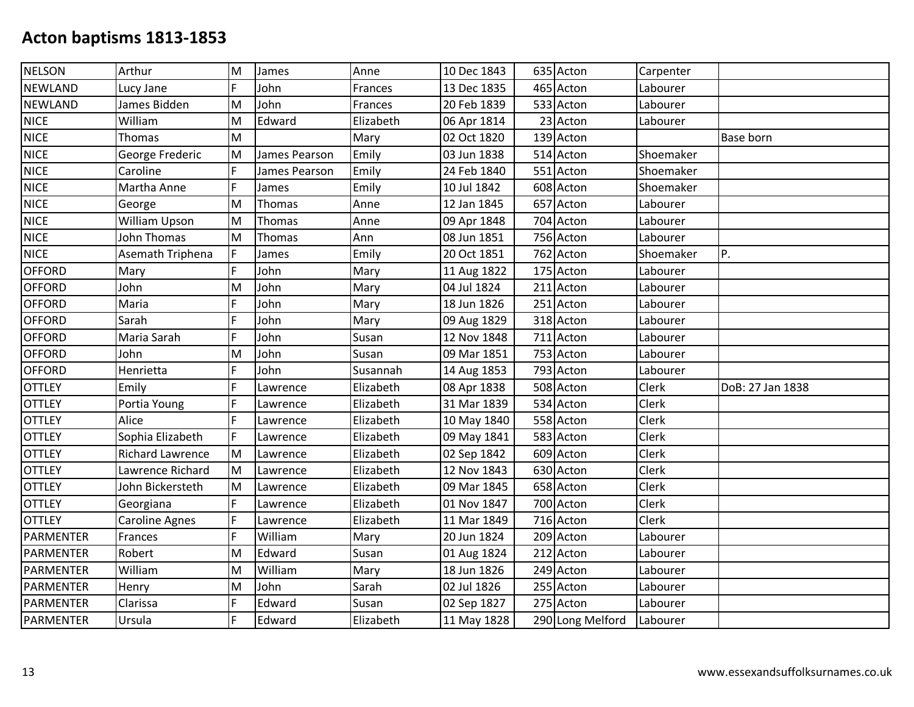| <b>NELSON</b>    | Arthur                  | M  | James         | Anne      | 10 Dec 1843 | 635 Acton        | Carpenter |                  |
|------------------|-------------------------|----|---------------|-----------|-------------|------------------|-----------|------------------|
| <b>NEWLAND</b>   | Lucy Jane               | F  | John          | Frances   | 13 Dec 1835 | 465 Acton        | Labourer  |                  |
| <b>NEWLAND</b>   | James Bidden            | Iм | John          | Frances   | 20 Feb 1839 | 533 Acton        | Labourer  |                  |
| <b>NICE</b>      | William                 | M  | Edward        | Elizabeth | 06 Apr 1814 | 23 Acton         | Labourer  |                  |
| <b>NICE</b>      | Thomas                  | M  |               | Mary      | 02 Oct 1820 | 139 Acton        |           | <b>Base born</b> |
| <b>NICE</b>      | George Frederic         | M  | James Pearson | Emily     | 03 Jun 1838 | 514 Acton        | Shoemaker |                  |
| <b>NICE</b>      | Caroline                | F  | James Pearson | Emily     | 24 Feb 1840 | 551 Acton        | Shoemaker |                  |
| <b>NICE</b>      | Martha Anne             | F  | James         | Emily     | 10 Jul 1842 | 608 Acton        | Shoemaker |                  |
| <b>NICE</b>      | George                  | M  | Thomas        | Anne      | 12 Jan 1845 | 657 Acton        | Labourer  |                  |
| <b>NICE</b>      | William Upson           | M  | Thomas        | Anne      | 09 Apr 1848 | 704 Acton        | Labourer  |                  |
| <b>NICE</b>      | John Thomas             | M  | Thomas        | Ann       | 08 Jun 1851 | 756 Acton        | Labourer  |                  |
| <b>NICE</b>      | Asemath Triphena        | F  | James         | Emily     | 20 Oct 1851 | 762 Acton        | Shoemaker | P.               |
| <b>OFFORD</b>    | Mary                    | F  | John          | Mary      | 11 Aug 1822 | 175 Acton        | Labourer  |                  |
| <b>OFFORD</b>    | John                    | M  | John          | Mary      | 04 Jul 1824 | 211 Acton        | Labourer  |                  |
| <b>OFFORD</b>    | Maria                   | F  | John          | Mary      | 18 Jun 1826 | 251 Acton        | Labourer  |                  |
| <b>OFFORD</b>    | Sarah                   | F  | John          | Mary      | 09 Aug 1829 | 318 Acton        | Labourer  |                  |
| <b>OFFORD</b>    | Maria Sarah             | F  | John          | Susan     | 12 Nov 1848 | 711 Acton        | Labourer  |                  |
| <b>OFFORD</b>    | John                    | M  | John          | Susan     | 09 Mar 1851 | 753 Acton        | Labourer  |                  |
| <b>OFFORD</b>    | Henrietta               | F  | John          | Susannah  | 14 Aug 1853 | 793 Acton        | Labourer  |                  |
| <b>OTTLEY</b>    | Emily                   | F  | Lawrence      | Elizabeth | 08 Apr 1838 | 508 Acton        | Clerk     | DoB: 27 Jan 1838 |
| <b>OTTLEY</b>    | Portia Young            | F  | Lawrence      | Elizabeth | 31 Mar 1839 | 534 Acton        | Clerk     |                  |
| <b>OTTLEY</b>    | Alice                   | F  | Lawrence      | Elizabeth | 10 May 1840 | 558 Acton        | Clerk     |                  |
| <b>OTTLEY</b>    | Sophia Elizabeth        | F  | Lawrence      | Elizabeth | 09 May 1841 | 583 Acton        | Clerk     |                  |
| <b>OTTLEY</b>    | <b>Richard Lawrence</b> | M  | Lawrence      | Elizabeth | 02 Sep 1842 | 609 Acton        | Clerk     |                  |
| <b>OTTLEY</b>    | Lawrence Richard        | M  | Lawrence      | Elizabeth | 12 Nov 1843 | 630 Acton        | Clerk     |                  |
| <b>OTTLEY</b>    | John Bickersteth        | M  | Lawrence      | Elizabeth | 09 Mar 1845 | 658 Acton        | Clerk     |                  |
| <b>OTTLEY</b>    | Georgiana               | F  | Lawrence      | Elizabeth | 01 Nov 1847 | 700 Acton        | Clerk     |                  |
| <b>OTTLEY</b>    | <b>Caroline Agnes</b>   | F  | Lawrence      | Elizabeth | 11 Mar 1849 | 716 Acton        | Clerk     |                  |
| <b>PARMENTER</b> | Frances                 | F  | William       | Mary      | 20 Jun 1824 | 209 Acton        | Labourer  |                  |
| <b>PARMENTER</b> | Robert                  | M  | Edward        | Susan     | 01 Aug 1824 | 212 Acton        | Labourer  |                  |
| <b>PARMENTER</b> | William                 | M  | William       | Mary      | 18 Jun 1826 | 249 Acton        | Labourer  |                  |
| <b>PARMENTER</b> | Henry                   | M  | John          | Sarah     | 02 Jul 1826 | 255 Acton        | Labourer  |                  |
| <b>PARMENTER</b> | Clarissa                | F  | Edward        | Susan     | 02 Sep 1827 | 275 Acton        | Labourer  |                  |
| <b>PARMENTER</b> | Ursula                  | F  | Edward        | Elizabeth | 11 May 1828 | 290 Long Melford | Labourer  |                  |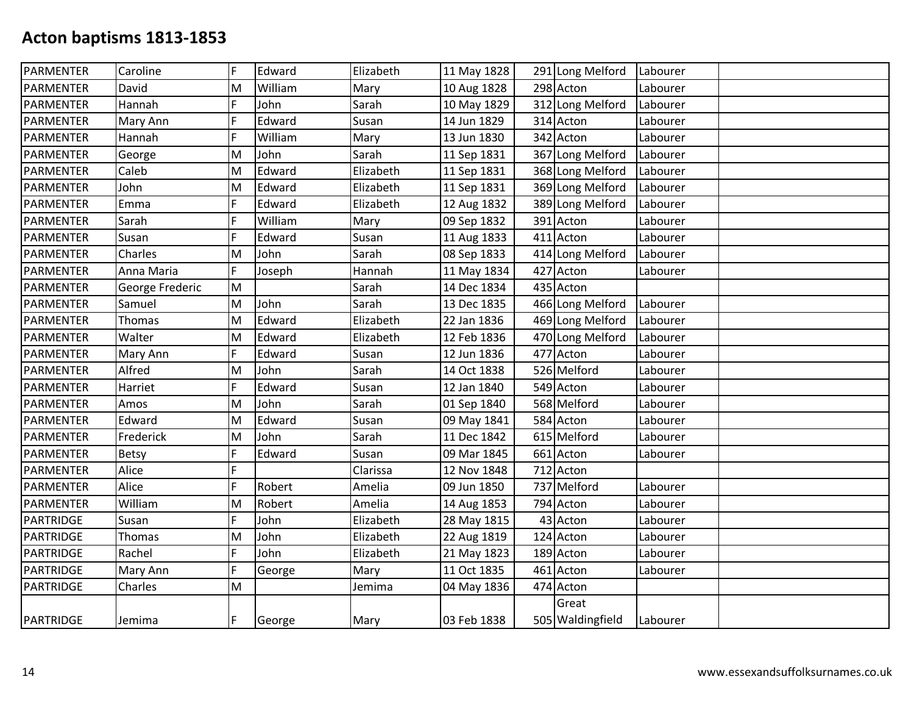| PARMENTER        | Caroline        | F | Edward  | Elizabeth | 11 May 1828 | 291 Long Melford | Labourer |  |
|------------------|-----------------|---|---------|-----------|-------------|------------------|----------|--|
| PARMENTER        | David           | M | William | Mary      | 10 Aug 1828 | 298 Acton        | Labourer |  |
| PARMENTER        | Hannah          | F | John    | Sarah     | 10 May 1829 | 312 Long Melford | Labourer |  |
| PARMENTER        | Mary Ann        | F | Edward  | Susan     | 14 Jun 1829 | 314 Acton        | Labourer |  |
| PARMENTER        | Hannah          | F | William | Mary      | 13 Jun 1830 | 342 Acton        | Labourer |  |
| <b>PARMENTER</b> | George          | M | John    | Sarah     | 11 Sep 1831 | 367 Long Melford | Labourer |  |
| PARMENTER        | Caleb           | M | Edward  | Elizabeth | 11 Sep 1831 | 368 Long Melford | Labourer |  |
| PARMENTER        | John            | M | Edward  | Elizabeth | 11 Sep 1831 | 369 Long Melford | Labourer |  |
| PARMENTER        | Emma            | F | Edward  | Elizabeth | 12 Aug 1832 | 389 Long Melford | Labourer |  |
| PARMENTER        | Sarah           | F | William | Mary      | 09 Sep 1832 | 391 Acton        | Labourer |  |
| <b>PARMENTER</b> | Susan           | F | Edward  | Susan     | 11 Aug 1833 | 411 Acton        | Labourer |  |
| PARMENTER        | Charles         | M | John    | Sarah     | 08 Sep 1833 | 414 Long Melford | Labourer |  |
| PARMENTER        | Anna Maria      | F | Joseph  | Hannah    | 11 May 1834 | 427 Acton        | Labourer |  |
| PARMENTER        | George Frederic | M |         | Sarah     | 14 Dec 1834 | 435 Acton        |          |  |
| PARMENTER        | Samuel          | M | John    | Sarah     | 13 Dec 1835 | 466 Long Melford | Labourer |  |
| PARMENTER        | <b>Thomas</b>   | M | Edward  | Elizabeth | 22 Jan 1836 | 469 Long Melford | Labourer |  |
| <b>PARMENTER</b> | Walter          | M | Edward  | Elizabeth | 12 Feb 1836 | 470 Long Melford | Labourer |  |
| PARMENTER        | Mary Ann        | F | Edward  | Susan     | 12 Jun 1836 | 477 Acton        | Labourer |  |
| PARMENTER        | Alfred          | M | John    | Sarah     | 14 Oct 1838 | 526 Melford      | Labourer |  |
| PARMENTER        | Harriet         | F | Edward  | Susan     | 12 Jan 1840 | 549 Acton        | Labourer |  |
| <b>PARMENTER</b> | Amos            | M | John    | Sarah     | 01 Sep 1840 | 568 Melford      | Labourer |  |
| PARMENTER        | Edward          | M | Edward  | Susan     | 09 May 1841 | 584 Acton        | Labourer |  |
| PARMENTER        | Frederick       | M | John    | Sarah     | 11 Dec 1842 | 615 Melford      | Labourer |  |
| PARMENTER        | Betsy           | F | Edward  | Susan     | 09 Mar 1845 | 661 Acton        | Labourer |  |
| PARMENTER        | Alice           | F |         | Clarissa  | 12 Nov 1848 | 712 Acton        |          |  |
| <b>PARMENTER</b> | Alice           | F | Robert  | Amelia    | 09 Jun 1850 | 737 Melford      | Labourer |  |
| <b>PARMENTER</b> | William         | M | Robert  | Amelia    | 14 Aug 1853 | 794 Acton        | Labourer |  |
| PARTRIDGE        | Susan           | F | John    | Elizabeth | 28 May 1815 | 43 Acton         | Labourer |  |
| PARTRIDGE        | <b>Thomas</b>   | M | John    | Elizabeth | 22 Aug 1819 | 124 Acton        | Labourer |  |
| PARTRIDGE        | Rachel          | F | John    | Elizabeth | 21 May 1823 | 189 Acton        | Labourer |  |
| <b>PARTRIDGE</b> | Mary Ann        | F | George  | Mary      | 11 Oct 1835 | 461 Acton        | Labourer |  |
| PARTRIDGE        | Charles         | M |         | Jemima    | 04 May 1836 | 474 Acton        |          |  |
|                  |                 |   |         |           |             | Great            |          |  |
| PARTRIDGE        | Jemima          | F | George  | Mary      | 03 Feb 1838 | 505 Waldingfield | Labourer |  |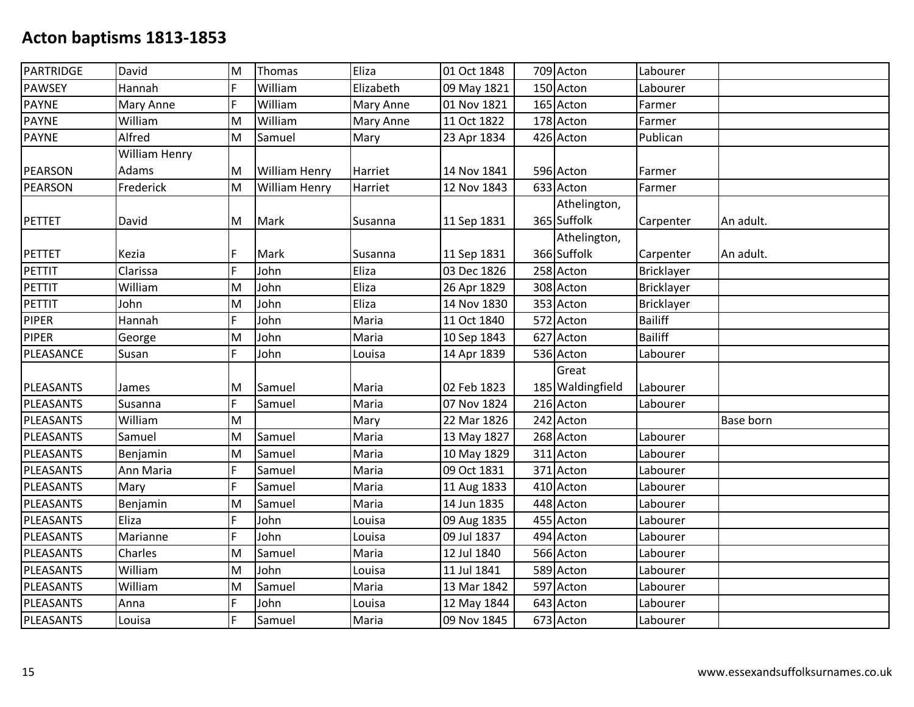| PARTRIDGE     | David         | M | Thomas               | Eliza     | 01 Oct 1848 | 709 Acton        | Labourer       |           |
|---------------|---------------|---|----------------------|-----------|-------------|------------------|----------------|-----------|
| <b>PAWSEY</b> | Hannah        | F | William              | Elizabeth | 09 May 1821 | 150 Acton        | Labourer       |           |
| <b>PAYNE</b>  | Mary Anne     | F | William              | Mary Anne | 01 Nov 1821 | 165 Acton        | Farmer         |           |
| <b>PAYNE</b>  | William       | M | William              | Mary Anne | 11 Oct 1822 | 178 Acton        | Farmer         |           |
| <b>PAYNE</b>  | Alfred        | M | Samuel               | Mary      | 23 Apr 1834 | 426 Acton        | Publican       |           |
|               | William Henry |   |                      |           |             |                  |                |           |
| PEARSON       | Adams         | M | William Henry        | Harriet   | 14 Nov 1841 | 596 Acton        | Farmer         |           |
| PEARSON       | Frederick     | M | <b>William Henry</b> | Harriet   | 12 Nov 1843 | 633 Acton        | Farmer         |           |
|               |               |   |                      |           |             | Athelington,     |                |           |
| PETTET        | David         | M | Mark                 | Susanna   | 11 Sep 1831 | 365 Suffolk      | Carpenter      | An adult. |
|               |               |   |                      |           |             | Athelington,     |                |           |
| PETTET        | Kezia         | F | Mark                 | Susanna   | 11 Sep 1831 | 366 Suffolk      | Carpenter      | An adult. |
| PETTIT        | Clarissa      | F | John                 | Eliza     | 03 Dec 1826 | 258 Acton        | Bricklayer     |           |
| PETTIT        | William       | M | John                 | Eliza     | 26 Apr 1829 | 308 Acton        | Bricklayer     |           |
| PETTIT        | John          | M | John                 | Eliza     | 14 Nov 1830 | 353 Acton        | Bricklayer     |           |
| <b>PIPER</b>  | Hannah        | F | John                 | Maria     | 11 Oct 1840 | 572 Acton        | <b>Bailiff</b> |           |
| <b>PIPER</b>  | George        | M | John                 | Maria     | 10 Sep 1843 | 627 Acton        | <b>Bailiff</b> |           |
| PLEASANCE     | Susan         | F | John                 | Louisa    | 14 Apr 1839 | 536 Acton        | Labourer       |           |
|               |               |   |                      |           |             | Great            |                |           |
| PLEASANTS     | James         | M | Samuel               | Maria     | 02 Feb 1823 | 185 Waldingfield | Labourer       |           |
| PLEASANTS     | Susanna       | F | Samuel               | Maria     | 07 Nov 1824 | 216 Acton        | Labourer       |           |
| PLEASANTS     | William       | M |                      | Mary      | 22 Mar 1826 | 242 Acton        |                | Base born |
| PLEASANTS     | Samuel        | M | Samuel               | Maria     | 13 May 1827 | 268 Acton        | Labourer       |           |
| PLEASANTS     | Benjamin      | M | Samuel               | Maria     | 10 May 1829 | 311 Acton        | Labourer       |           |
| PLEASANTS     | Ann Maria     | F | Samuel               | Maria     | 09 Oct 1831 | 371 Acton        | Labourer       |           |
| PLEASANTS     | Mary          | F | Samuel               | Maria     | 11 Aug 1833 | 410 Acton        | Labourer       |           |
| PLEASANTS     | Benjamin      | M | Samuel               | Maria     | 14 Jun 1835 | 448 Acton        | Labourer       |           |
| PLEASANTS     | Eliza         | F | John                 | Louisa    | 09 Aug 1835 | 455 Acton        | Labourer       |           |
| PLEASANTS     | Marianne      | F | John                 | Louisa    | 09 Jul 1837 | 494 Acton        | Labourer       |           |
| PLEASANTS     | Charles       | M | Samuel               | Maria     | 12 Jul 1840 | 566 Acton        | Labourer       |           |
| PLEASANTS     | William       | M | John                 | Louisa    | 11 Jul 1841 | 589 Acton        | Labourer       |           |
| PLEASANTS     | William       | M | Samuel               | Maria     | 13 Mar 1842 | 597 Acton        | Labourer       |           |
| PLEASANTS     | Anna          | F | John                 | Louisa    | 12 May 1844 | 643 Acton        | Labourer       |           |
| PLEASANTS     | Louisa        | F | Samuel               | Maria     | 09 Nov 1845 | 673 Acton        | Labourer       |           |
|               |               |   |                      |           |             |                  |                |           |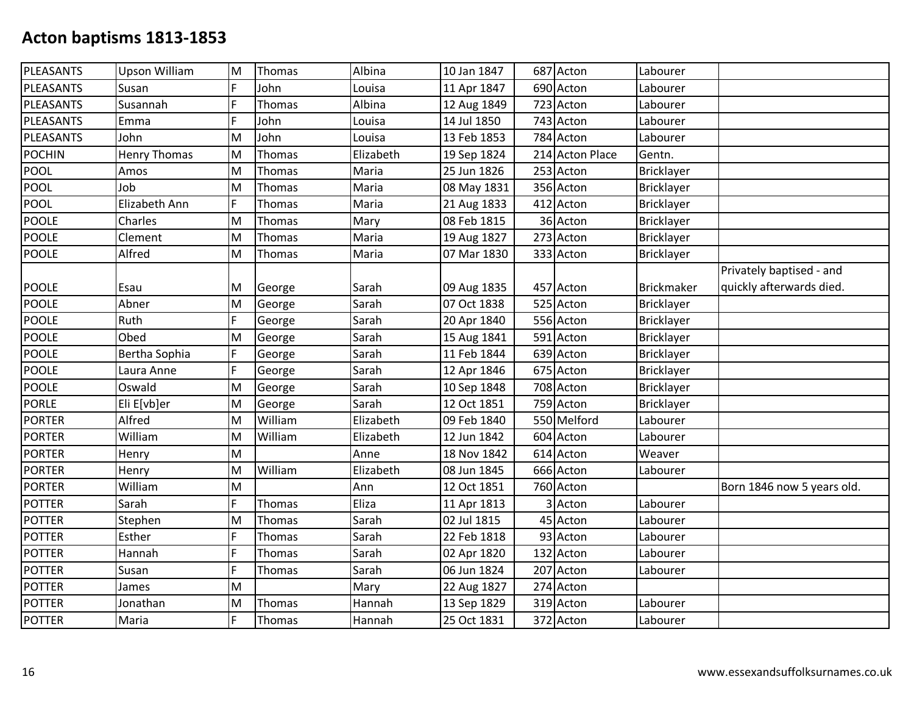| PLEASANTS     | <b>Upson William</b> | M | Thomas  | Albina    | 10 Jan 1847 | 687 Acton       | Labourer          |                            |
|---------------|----------------------|---|---------|-----------|-------------|-----------------|-------------------|----------------------------|
| PLEASANTS     | Susan                | F | John    | Louisa    | 11 Apr 1847 | 690 Acton       | Labourer          |                            |
| PLEASANTS     | Susannah             | F | Thomas  | Albina    | 12 Aug 1849 | 723 Acton       | Labourer          |                            |
| PLEASANTS     | Emma                 | F | John    | Louisa    | 14 Jul 1850 | 743 Acton       | Labourer          |                            |
| PLEASANTS     | John                 | M | John    | Louisa    | 13 Feb 1853 | 784 Acton       | Labourer          |                            |
| <b>POCHIN</b> | <b>Henry Thomas</b>  | M | Thomas  | Elizabeth | 19 Sep 1824 | 214 Acton Place | Gentn.            |                            |
| <b>POOL</b>   | Amos                 | M | Thomas  | Maria     | 25 Jun 1826 | 253 Acton       | <b>Bricklayer</b> |                            |
| POOL          | Job                  | M | Thomas  | Maria     | 08 May 1831 | 356 Acton       | <b>Bricklayer</b> |                            |
| POOL          | Elizabeth Ann        | F | Thomas  | Maria     | 21 Aug 1833 | 412 Acton       | Bricklayer        |                            |
| <b>POOLE</b>  | Charles              | M | Thomas  | Mary      | 08 Feb 1815 | 36 Acton        | <b>Bricklayer</b> |                            |
| <b>POOLE</b>  | Clement              | M | Thomas  | Maria     | 19 Aug 1827 | 273 Acton       | Bricklayer        |                            |
| <b>POOLE</b>  | Alfred               | M | Thomas  | Maria     | 07 Mar 1830 | 333 Acton       | <b>Bricklayer</b> |                            |
|               |                      |   |         |           |             |                 |                   | Privately baptised - and   |
| POOLE         | Esau                 | M | George  | Sarah     | 09 Aug 1835 | 457 Acton       | <b>Brickmaker</b> | quickly afterwards died.   |
| <b>POOLE</b>  | Abner                | M | George  | Sarah     | 07 Oct 1838 | 525 Acton       | Bricklayer        |                            |
| POOLE         | Ruth                 | F | George  | Sarah     | 20 Apr 1840 | 556 Acton       | <b>Bricklayer</b> |                            |
| <b>POOLE</b>  | Obed                 | M | George  | Sarah     | 15 Aug 1841 | 591 Acton       | <b>Bricklayer</b> |                            |
| <b>POOLE</b>  | Bertha Sophia        | F | George  | Sarah     | 11 Feb 1844 | 639 Acton       | Bricklayer        |                            |
| <b>POOLE</b>  | Laura Anne           | F | George  | Sarah     | 12 Apr 1846 | 675 Acton       | <b>Bricklayer</b> |                            |
| <b>POOLE</b>  | Oswald               | M | George  | Sarah     | 10 Sep 1848 | 708 Acton       | Bricklayer        |                            |
| <b>PORLE</b>  | Eli E[vb]er          | M | George  | Sarah     | 12 Oct 1851 | 759 Acton       | Bricklayer        |                            |
| <b>PORTER</b> | Alfred               | M | William | Elizabeth | 09 Feb 1840 | 550 Melford     | Labourer          |                            |
| <b>PORTER</b> | William              | M | William | Elizabeth | 12 Jun 1842 | 604 Acton       | Labourer          |                            |
| <b>PORTER</b> | Henry                | M |         | Anne      | 18 Nov 1842 | 614 Acton       | Weaver            |                            |
| <b>PORTER</b> | Henry                | M | William | Elizabeth | 08 Jun 1845 | 666 Acton       | Labourer          |                            |
| <b>PORTER</b> | William              | M |         | Ann       | 12 Oct 1851 | 760 Acton       |                   | Born 1846 now 5 years old. |
| <b>POTTER</b> | Sarah                | F | Thomas  | Eliza     | 11 Apr 1813 | Acton           | Labourer          |                            |
| <b>POTTER</b> | Stephen              | M | Thomas  | Sarah     | 02 Jul 1815 | 45 Acton        | Labourer          |                            |
| <b>POTTER</b> | Esther               | F | Thomas  | Sarah     | 22 Feb 1818 | 93 Acton        | Labourer          |                            |
| <b>POTTER</b> | Hannah               | F | Thomas  | Sarah     | 02 Apr 1820 | 132 Acton       | Labourer          |                            |
| <b>POTTER</b> | Susan                | F | Thomas  | Sarah     | 06 Jun 1824 | 207 Acton       | Labourer          |                            |
| <b>POTTER</b> | James                | M |         | Mary      | 22 Aug 1827 | 274 Acton       |                   |                            |
| <b>POTTER</b> | Jonathan             | M | Thomas  | Hannah    | 13 Sep 1829 | 319 Acton       | Labourer          |                            |
| <b>POTTER</b> | Maria                | F | Thomas  | Hannah    | 25 Oct 1831 | 372 Acton       | Labourer          |                            |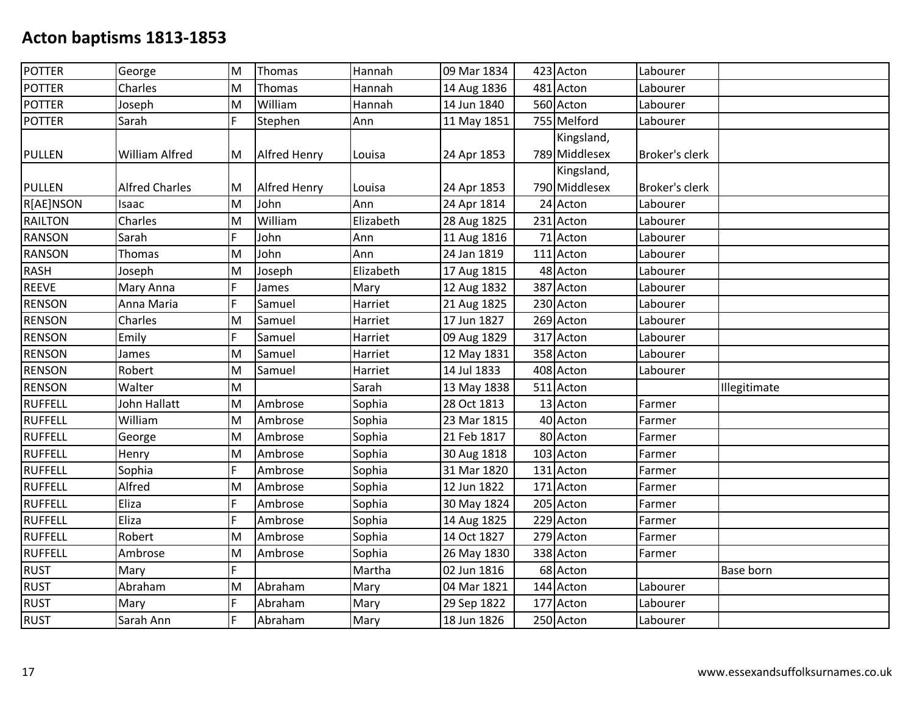| <b>POTTER</b>  | George                | M | Thomas              | Hannah    | 09 Mar 1834 | 423 Acton     | Labourer              |              |
|----------------|-----------------------|---|---------------------|-----------|-------------|---------------|-----------------------|--------------|
| <b>POTTER</b>  | Charles               | M | Thomas              | Hannah    | 14 Aug 1836 | 481 Acton     | Labourer              |              |
| <b>POTTER</b>  | Joseph                | M | William             | Hannah    | 14 Jun 1840 | 560 Acton     | Labourer              |              |
| <b>POTTER</b>  | Sarah                 | F | Stephen             | Ann       | 11 May 1851 | 755 Melford   | Labourer              |              |
|                |                       |   |                     |           |             | Kingsland,    |                       |              |
| <b>PULLEN</b>  | <b>William Alfred</b> | M | <b>Alfred Henry</b> | Louisa    | 24 Apr 1853 | 789 Middlesex | <b>Broker's clerk</b> |              |
|                |                       |   |                     |           |             | Kingsland,    |                       |              |
| <b>PULLEN</b>  | <b>Alfred Charles</b> | M | <b>Alfred Henry</b> | Louisa    | 24 Apr 1853 | 790 Middlesex | <b>Broker's clerk</b> |              |
| R[AE]NSON      | Isaac                 | M | John                | Ann       | 24 Apr 1814 | 24 Acton      | Labourer              |              |
| <b>RAILTON</b> | Charles               | M | William             | Elizabeth | 28 Aug 1825 | 231 Acton     | Labourer              |              |
| <b>RANSON</b>  | Sarah                 | F | John                | Ann       | 11 Aug 1816 | 71 Acton      | Labourer              |              |
| <b>RANSON</b>  | Thomas                | M | John                | Ann       | 24 Jan 1819 | 111 Acton     | Labourer              |              |
| <b>RASH</b>    | Joseph                | M | Joseph              | Elizabeth | 17 Aug 1815 | 48 Acton      | Labourer              |              |
| <b>REEVE</b>   | Mary Anna             | F | James               | Mary      | 12 Aug 1832 | 387 Acton     | Labourer              |              |
| <b>RENSON</b>  | Anna Maria            | F | Samuel              | Harriet   | 21 Aug 1825 | 230 Acton     | Labourer              |              |
| <b>RENSON</b>  | Charles               | M | Samuel              | Harriet   | 17 Jun 1827 | 269 Acton     | Labourer              |              |
| <b>RENSON</b>  | Emily                 | F | Samuel              | Harriet   | 09 Aug 1829 | 317 Acton     | Labourer              |              |
| <b>RENSON</b>  | James                 | M | Samuel              | Harriet   | 12 May 1831 | 358 Acton     | Labourer              |              |
| <b>RENSON</b>  | Robert                | M | Samuel              | Harriet   | 14 Jul 1833 | 408 Acton     | Labourer              |              |
| <b>RENSON</b>  | Walter                | M |                     | Sarah     | 13 May 1838 | 511 Acton     |                       | Illegitimate |
| <b>RUFFELL</b> | John Hallatt          | M | Ambrose             | Sophia    | 28 Oct 1813 | 13 Acton      | Farmer                |              |
| <b>RUFFELL</b> | William               | M | Ambrose             | Sophia    | 23 Mar 1815 | 40 Acton      | Farmer                |              |
| <b>RUFFELL</b> | George                | M | Ambrose             | Sophia    | 21 Feb 1817 | 80 Acton      | Farmer                |              |
| <b>RUFFELL</b> | Henry                 | M | Ambrose             | Sophia    | 30 Aug 1818 | 103 Acton     | Farmer                |              |
| <b>RUFFELL</b> | Sophia                | F | Ambrose             | Sophia    | 31 Mar 1820 | 131 Acton     | Farmer                |              |
| <b>RUFFELL</b> | Alfred                | M | Ambrose             | Sophia    | 12 Jun 1822 | 171 Acton     | Farmer                |              |
| <b>RUFFELL</b> | Eliza                 | F | Ambrose             | Sophia    | 30 May 1824 | 205 Acton     | Farmer                |              |
| <b>RUFFELL</b> | Eliza                 | F | Ambrose             | Sophia    | 14 Aug 1825 | 229 Acton     | Farmer                |              |
| <b>RUFFELL</b> | Robert                | M | Ambrose             | Sophia    | 14 Oct 1827 | 279 Acton     | Farmer                |              |
| <b>RUFFELL</b> | Ambrose               | M | Ambrose             | Sophia    | 26 May 1830 | 338 Acton     | Farmer                |              |
| <b>RUST</b>    | Mary                  | Ē |                     | Martha    | 02 Jun 1816 | 68 Acton      |                       | Base born    |
| <b>RUST</b>    | Abraham               | M | Abraham             | Mary      | 04 Mar 1821 | 144 Acton     | Labourer              |              |
| <b>RUST</b>    | Mary                  | F | Abraham             | Mary      | 29 Sep 1822 | 177 Acton     | Labourer              |              |
| <b>RUST</b>    | Sarah Ann             | F | Abraham             | Mary      | 18 Jun 1826 | 250 Acton     | Labourer              |              |
|                |                       |   |                     |           |             |               |                       |              |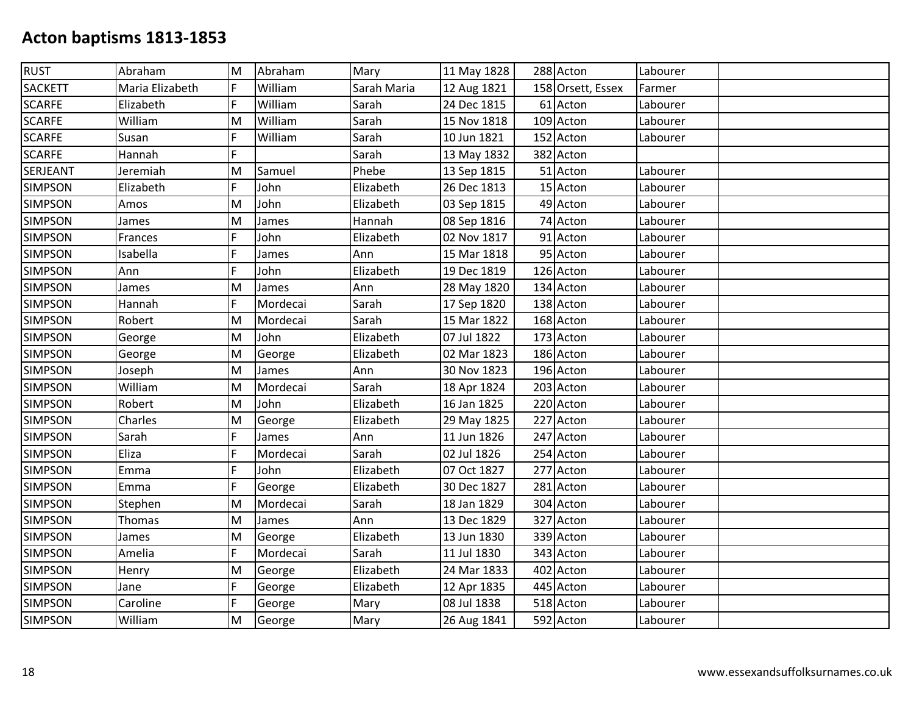| <b>RUST</b>    | Abraham         | ΙM | Abraham  | Mary        | 11 May 1828 | 288 Acton         | Labourer |  |
|----------------|-----------------|----|----------|-------------|-------------|-------------------|----------|--|
| <b>SACKETT</b> | Maria Elizabeth | F  | William  | Sarah Maria | 12 Aug 1821 | 158 Orsett, Essex | Farmer   |  |
| <b>SCARFE</b>  | Elizabeth       | F  | William  | Sarah       | 24 Dec 1815 | 61 Acton          | Labourer |  |
| <b>SCARFE</b>  | William         | M  | William  | Sarah       | 15 Nov 1818 | 109 Acton         | Labourer |  |
| <b>SCARFE</b>  | Susan           | F  | William  | Sarah       | 10 Jun 1821 | 152 Acton         | Labourer |  |
| <b>SCARFE</b>  | Hannah          | F  |          | Sarah       | 13 May 1832 | 382 Acton         |          |  |
| SERJEANT       | Jeremiah        | M  | Samuel   | Phebe       | 13 Sep 1815 | 51 Acton          | Labourer |  |
| <b>SIMPSON</b> | Elizabeth       | F  | John     | Elizabeth   | 26 Dec 1813 | 15 Acton          | Labourer |  |
| <b>SIMPSON</b> | Amos            | M  | John     | Elizabeth   | 03 Sep 1815 | 49 Acton          | Labourer |  |
| <b>SIMPSON</b> | James           | M  | James    | Hannah      | 08 Sep 1816 | 74 Acton          | Labourer |  |
| <b>SIMPSON</b> | Frances         | F  | John     | Elizabeth   | 02 Nov 1817 | 91 Acton          | Labourer |  |
| <b>SIMPSON</b> | Isabella        | F  | James    | Ann         | 15 Mar 1818 | 95 Acton          | Labourer |  |
| <b>SIMPSON</b> | Ann             | F  | John     | Elizabeth   | 19 Dec 1819 | 126 Acton         | Labourer |  |
| <b>SIMPSON</b> | James           | M  | James    | Ann         | 28 May 1820 | 134 Acton         | Labourer |  |
| SIMPSON        | Hannah          | F  | Mordecai | Sarah       | 17 Sep 1820 | 138 Acton         | Labourer |  |
| <b>SIMPSON</b> | Robert          | M  | Mordecai | Sarah       | 15 Mar 1822 | 168 Acton         | Labourer |  |
| <b>SIMPSON</b> | George          | M  | John     | Elizabeth   | 07 Jul 1822 | 173 Acton         | Labourer |  |
| <b>SIMPSON</b> | George          | ΙM | George   | Elizabeth   | 02 Mar 1823 | 186 Acton         | Labourer |  |
| <b>SIMPSON</b> | Joseph          | M  | James    | Ann         | 30 Nov 1823 | 196 Acton         | Labourer |  |
| <b>SIMPSON</b> | William         | ΙM | Mordecai | Sarah       | 18 Apr 1824 | 203 Acton         | Labourer |  |
| <b>SIMPSON</b> | Robert          | M  | John     | Elizabeth   | 16 Jan 1825 | 220 Acton         | Labourer |  |
| <b>SIMPSON</b> | Charles         | M  | George   | Elizabeth   | 29 May 1825 | 227 Acton         | Labourer |  |
| <b>SIMPSON</b> | Sarah           | F  | James    | Ann         | 11 Jun 1826 | 247 Acton         | Labourer |  |
| <b>SIMPSON</b> | Eliza           | F  | Mordecai | Sarah       | 02 Jul 1826 | 254 Acton         | Labourer |  |
| <b>SIMPSON</b> | Emma            | F  | John     | Elizabeth   | 07 Oct 1827 | 277 Acton         | Labourer |  |
| <b>SIMPSON</b> | Emma            | F  | George   | Elizabeth   | 30 Dec 1827 | 281 Acton         | Labourer |  |
| <b>SIMPSON</b> | Stephen         | M  | Mordecai | Sarah       | 18 Jan 1829 | 304 Acton         | Labourer |  |
| <b>SIMPSON</b> | Thomas          | M  | James    | Ann         | 13 Dec 1829 | 327 Acton         | Labourer |  |
| <b>SIMPSON</b> | James           | M  | George   | Elizabeth   | 13 Jun 1830 | 339 Acton         | Labourer |  |
| <b>SIMPSON</b> | Amelia          | F  | Mordecai | Sarah       | 11 Jul 1830 | 343 Acton         | Labourer |  |
| <b>SIMPSON</b> | Henry           | M  | George   | Elizabeth   | 24 Mar 1833 | 402 Acton         | Labourer |  |
| <b>SIMPSON</b> | Jane            | F  | George   | Elizabeth   | 12 Apr 1835 | 445 Acton         | Labourer |  |
| SIMPSON        | Caroline        | F  | George   | Mary        | 08 Jul 1838 | 518 Acton         | Labourer |  |
| <b>SIMPSON</b> | William         | M  | George   | Mary        | 26 Aug 1841 | 592 Acton         | Labourer |  |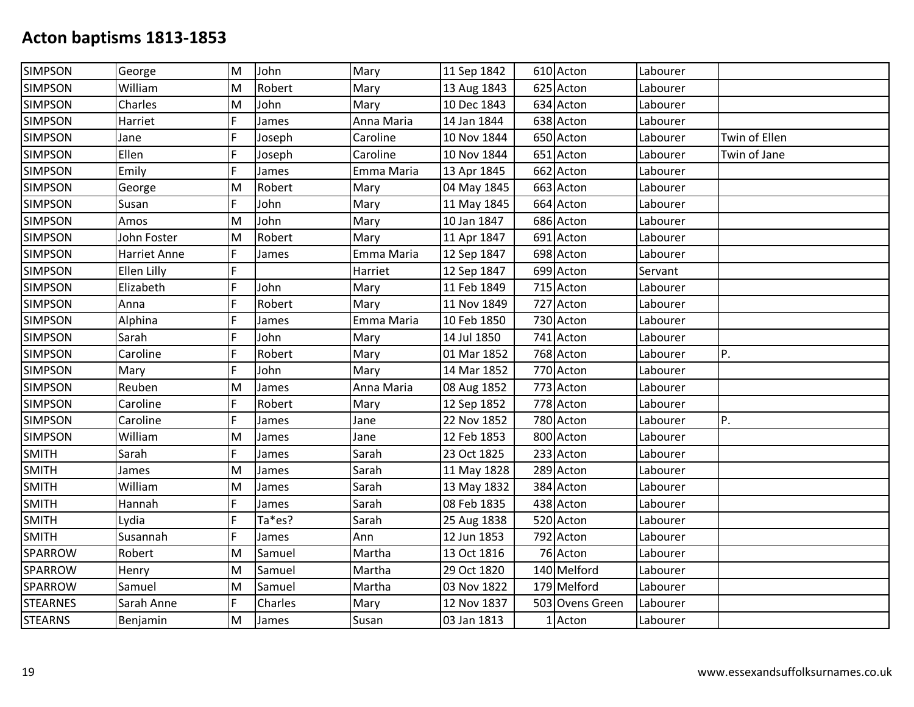| <b>SIMPSON</b>  | George       | M | John    | Mary       | 11 Sep 1842 | 610 Acton       | Labourer |               |
|-----------------|--------------|---|---------|------------|-------------|-----------------|----------|---------------|
| <b>SIMPSON</b>  | William      | M | Robert  | Mary       | 13 Aug 1843 | 625 Acton       | Labourer |               |
| <b>SIMPSON</b>  | Charles      | M | John    | Mary       | 10 Dec 1843 | 634 Acton       | Labourer |               |
| <b>SIMPSON</b>  | Harriet      | F | James   | Anna Maria | 14 Jan 1844 | 638 Acton       | Labourer |               |
| <b>SIMPSON</b>  | Jane         | F | Joseph  | Caroline   | 10 Nov 1844 | 650 Acton       | Labourer | Twin of Ellen |
| <b>SIMPSON</b>  | Ellen        | F | Joseph  | Caroline   | 10 Nov 1844 | 651 Acton       | Labourer | Twin of Jane  |
| <b>SIMPSON</b>  | Emily        | F | James   | Emma Maria | 13 Apr 1845 | 662 Acton       | Labourer |               |
| <b>SIMPSON</b>  | George       | M | Robert  | Mary       | 04 May 1845 | 663 Acton       | Labourer |               |
| <b>SIMPSON</b>  | Susan        | F | John    | Mary       | 11 May 1845 | 664 Acton       | Labourer |               |
| <b>SIMPSON</b>  | Amos         | M | John    | Mary       | 10 Jan 1847 | 686 Acton       | Labourer |               |
| <b>SIMPSON</b>  | John Foster  | M | Robert  | Mary       | 11 Apr 1847 | 691 Acton       | Labourer |               |
| <b>SIMPSON</b>  | Harriet Anne | F | James   | Emma Maria | 12 Sep 1847 | 698 Acton       | Labourer |               |
| <b>SIMPSON</b>  | Ellen Lilly  | F |         | Harriet    | 12 Sep 1847 | 699 Acton       | Servant  |               |
| <b>SIMPSON</b>  | Elizabeth    | Ē | John    | Mary       | 11 Feb 1849 | 715 Acton       | Labourer |               |
| <b>SIMPSON</b>  | Anna         | F | Robert  | Mary       | 11 Nov 1849 | 727 Acton       | Labourer |               |
| <b>SIMPSON</b>  | Alphina      | F | James   | Emma Maria | 10 Feb 1850 | 730 Acton       | Labourer |               |
| <b>SIMPSON</b>  | Sarah        | F | John    | Mary       | 14 Jul 1850 | 741 Acton       | Labourer |               |
| <b>SIMPSON</b>  | Caroline     | F | Robert  | Mary       | 01 Mar 1852 | 768 Acton       | Labourer | P.            |
| <b>SIMPSON</b>  | Mary         | Ē | John    | Mary       | 14 Mar 1852 | 770 Acton       | Labourer |               |
| <b>SIMPSON</b>  | Reuben       | M | James   | Anna Maria | 08 Aug 1852 | 773 Acton       | Labourer |               |
| <b>SIMPSON</b>  | Caroline     | F | Robert  | Mary       | 12 Sep 1852 | 778 Acton       | Labourer |               |
| <b>SIMPSON</b>  | Caroline     | F | James   | Jane       | 22 Nov 1852 | 780 Acton       | Labourer | P.            |
| <b>SIMPSON</b>  | William      | M | James   | Jane       | 12 Feb 1853 | 800 Acton       | Labourer |               |
| <b>SMITH</b>    | Sarah        | F | James   | Sarah      | 23 Oct 1825 | 233 Acton       | Labourer |               |
| <b>SMITH</b>    | James        | M | James   | Sarah      | 11 May 1828 | 289 Acton       | Labourer |               |
| <b>SMITH</b>    | William      | M | James   | Sarah      | 13 May 1832 | 384 Acton       | Labourer |               |
| <b>SMITH</b>    | Hannah       | F | James   | Sarah      | 08 Feb 1835 | 438 Acton       | Labourer |               |
| <b>SMITH</b>    | Lydia        | F | Ta*es?  | Sarah      | 25 Aug 1838 | 520 Acton       | Labourer |               |
| <b>SMITH</b>    | Susannah     | F | James   | Ann        | 12 Jun 1853 | 792 Acton       | Labourer |               |
| SPARROW         | Robert       | M | Samuel  | Martha     | 13 Oct 1816 | 76 Acton        | Labourer |               |
| SPARROW         | Henry        | M | Samuel  | Martha     | 29 Oct 1820 | 140 Melford     | Labourer |               |
| SPARROW         | Samuel       | M | Samuel  | Martha     | 03 Nov 1822 | 179 Melford     | Labourer |               |
| <b>STEARNES</b> | Sarah Anne   | F | Charles | Mary       | 12 Nov 1837 | 503 Ovens Green | Labourer |               |
| <b>STEARNS</b>  | Benjamin     | M | James   | Susan      | 03 Jan 1813 | 1 Acton         | Labourer |               |
|                 |              |   |         |            |             |                 |          |               |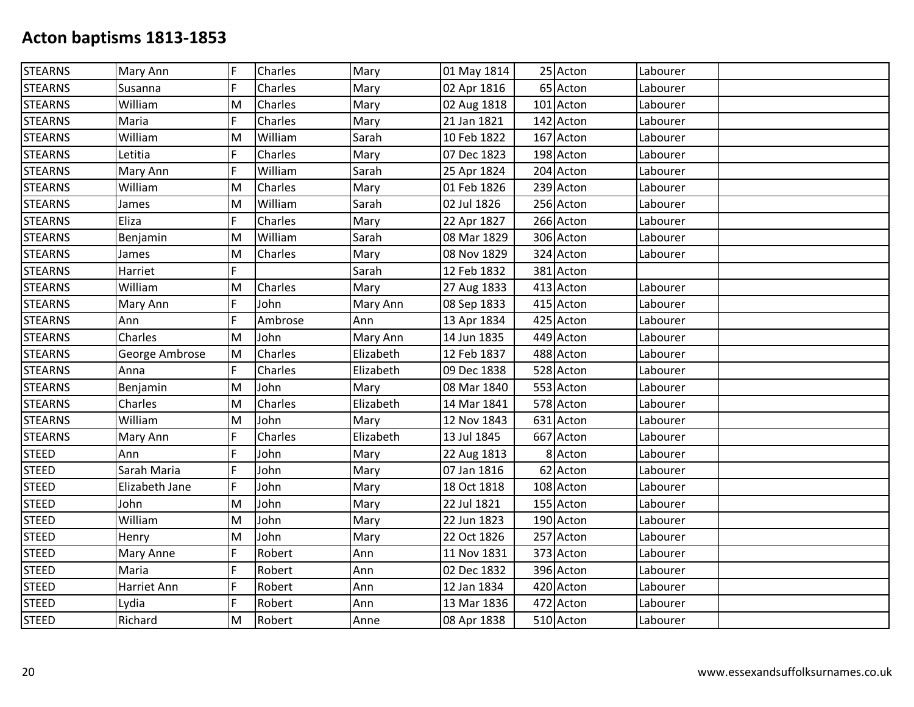| <b>STEARNS</b> | Mary Ann       | F           | Charles | Mary      | 01 May 1814 | 25 Acton  | Labourer |  |
|----------------|----------------|-------------|---------|-----------|-------------|-----------|----------|--|
| <b>STEARNS</b> | Susanna        | F           | Charles | Mary      | 02 Apr 1816 | 65 Acton  | Labourer |  |
| <b>STEARNS</b> | William        | Iм          | Charles | Mary      | 02 Aug 1818 | 101 Acton | Labourer |  |
| <b>STEARNS</b> | Maria          | F           | Charles | Mary      | 21 Jan 1821 | 142 Acton | Labourer |  |
| <b>STEARNS</b> | William        | M           | William | Sarah     | 10 Feb 1822 | 167 Acton | Labourer |  |
| <b>STEARNS</b> | Letitia        | F           | Charles | Mary      | 07 Dec 1823 | 198 Acton | Labourer |  |
| <b>STEARNS</b> | Mary Ann       | F           | William | Sarah     | 25 Apr 1824 | 204 Acton | Labourer |  |
| <b>STEARNS</b> | William        | M           | Charles | Mary      | 01 Feb 1826 | 239 Acton | Labourer |  |
| <b>STEARNS</b> | James          | M           | William | Sarah     | 02 Jul 1826 | 256 Acton | Labourer |  |
| <b>STEARNS</b> | Eliza          | F           | Charles | Mary      | 22 Apr 1827 | 266 Acton | Labourer |  |
| <b>STEARNS</b> | Benjamin       | M           | William | Sarah     | 08 Mar 1829 | 306 Acton | Labourer |  |
| <b>STEARNS</b> | James          | ΙM          | Charles | Mary      | 08 Nov 1829 | 324 Acton | Labourer |  |
| <b>STEARNS</b> | Harriet        | F           |         | Sarah     | 12 Feb 1832 | 381 Acton |          |  |
| <b>STEARNS</b> | William        | M           | Charles | Mary      | 27 Aug 1833 | 413 Acton | Labourer |  |
| <b>STEARNS</b> | Mary Ann       | F           | John    | Mary Ann  | 08 Sep 1833 | 415 Acton | Labourer |  |
| <b>STEARNS</b> | Ann            | F           | Ambrose | Ann       | 13 Apr 1834 | 425 Acton | Labourer |  |
| <b>STEARNS</b> | Charles        | ΙM          | John    | Mary Ann  | 14 Jun 1835 | 449 Acton | Labourer |  |
| <b>STEARNS</b> | George Ambrose | M           | Charles | Elizabeth | 12 Feb 1837 | 488 Acton | Labourer |  |
| <b>STEARNS</b> | Anna           | F           | Charles | Elizabeth | 09 Dec 1838 | 528 Acton | Labourer |  |
| <b>STEARNS</b> | Benjamin       | lм          | John    | Mary      | 08 Mar 1840 | 553 Acton | Labourer |  |
| <b>STEARNS</b> | Charles        | M           | Charles | Elizabeth | 14 Mar 1841 | 578 Acton | Labourer |  |
| <b>STEARNS</b> | William        | M           | John    | Mary      | 12 Nov 1843 | 631 Acton | Labourer |  |
| <b>STEARNS</b> | Mary Ann       | F           | Charles | Elizabeth | 13 Jul 1845 | 667 Acton | Labourer |  |
| <b>STEED</b>   | Ann            | F           | John    | Mary      | 22 Aug 1813 | 8 Acton   | Labourer |  |
| <b>STEED</b>   | Sarah Maria    | F           | John    | Mary      | 07 Jan 1816 | 62 Acton  | Labourer |  |
| <b>STEED</b>   | Elizabeth Jane | F           | John    | Mary      | 18 Oct 1818 | 108 Acton | Labourer |  |
| <b>STEED</b>   | John           | M           | John    | Mary      | 22 Jul 1821 | 155 Acton | Labourer |  |
| <b>STEED</b>   | William        | lм          | John    | Mary      | 22 Jun 1823 | 190 Acton | Labourer |  |
| <b>STEED</b>   | Henry          | M           | John    | Mary      | 22 Oct 1826 | 257 Acton | Labourer |  |
| <b>STEED</b>   | Mary Anne      | F           | Robert  | Ann       | 11 Nov 1831 | 373 Acton | Labourer |  |
| <b>STEED</b>   | Maria          | F           | Robert  | Ann       | 02 Dec 1832 | 396 Acton | Labourer |  |
| <b>STEED</b>   | Harriet Ann    | $\mathsf F$ | Robert  | Ann       | 12 Jan 1834 | 420 Acton | Labourer |  |
| <b>STEED</b>   | Lydia          | F           | Robert  | Ann       | 13 Mar 1836 | 472 Acton | Labourer |  |
| <b>STEED</b>   | Richard        | M           | Robert  | Anne      | 08 Apr 1838 | 510 Acton | Labourer |  |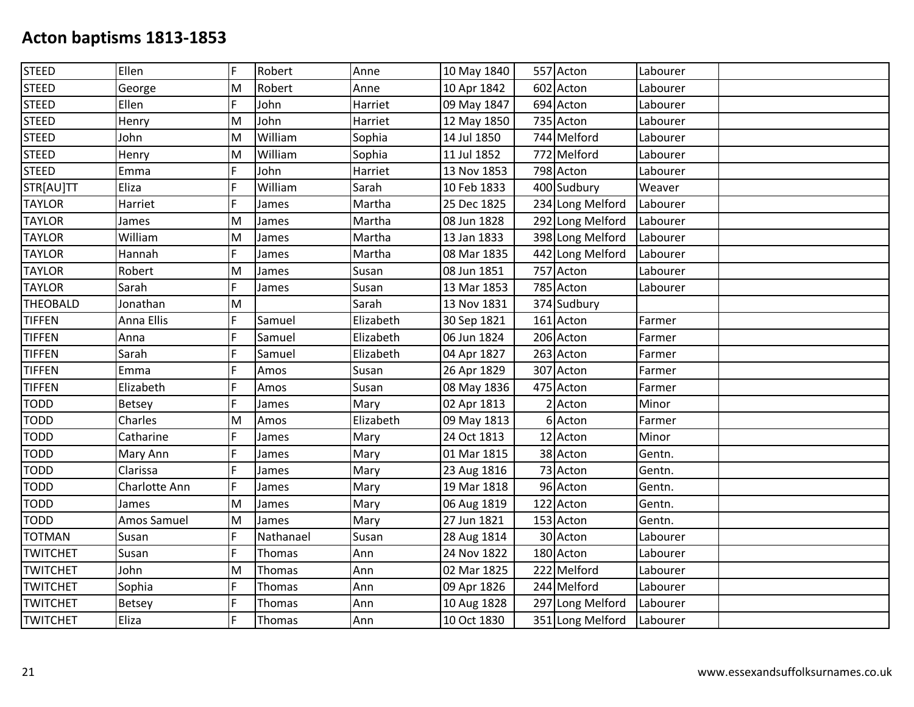| <b>STEED</b>    | Ellen         | F | Robert        | Anne      | 10 May 1840 | 557 Acton        | Labourer |  |
|-----------------|---------------|---|---------------|-----------|-------------|------------------|----------|--|
| <b>STEED</b>    | George        | M | Robert        | Anne      | 10 Apr 1842 | 602 Acton        | Labourer |  |
| <b>STEED</b>    | Ellen         | F | John          | Harriet   | 09 May 1847 | 694 Acton        | Labourer |  |
| <b>STEED</b>    | Henry         | M | John          | Harriet   | 12 May 1850 | 735 Acton        | Labourer |  |
| <b>STEED</b>    | John          | M | William       | Sophia    | 14 Jul 1850 | 744 Melford      | Labourer |  |
| <b>STEED</b>    | Henry         | M | William       | Sophia    | 11 Jul 1852 | 772 Melford      | Labourer |  |
| <b>STEED</b>    | Emma          | F | John          | Harriet   | 13 Nov 1853 | 798 Acton        | Labourer |  |
| STR[AU]TT       | Eliza         | F | William       | Sarah     | 10 Feb 1833 | 400 Sudbury      | Weaver   |  |
| <b>TAYLOR</b>   | Harriet       | F | James         | Martha    | 25 Dec 1825 | 234 Long Melford | Labourer |  |
| <b>TAYLOR</b>   | James         | M | James         | Martha    | 08 Jun 1828 | 292 Long Melford | Labourer |  |
| <b>TAYLOR</b>   | William       | M | James         | Martha    | 13 Jan 1833 | 398 Long Melford | Labourer |  |
| <b>TAYLOR</b>   | Hannah        | F | James         | Martha    | 08 Mar 1835 | 442 Long Melford | Labourer |  |
| <b>TAYLOR</b>   | Robert        | M | James         | Susan     | 08 Jun 1851 | 757 Acton        | Labourer |  |
| <b>TAYLOR</b>   | Sarah         | F | James         | Susan     | 13 Mar 1853 | 785 Acton        | Labourer |  |
| <b>THEOBALD</b> | Jonathan      | M |               | Sarah     | 13 Nov 1831 | 374 Sudbury      |          |  |
| <b>TIFFEN</b>   | Anna Ellis    | F | Samuel        | Elizabeth | 30 Sep 1821 | 161 Acton        | Farmer   |  |
| <b>TIFFEN</b>   | Anna          | F | Samuel        | Elizabeth | 06 Jun 1824 | 206 Acton        | Farmer   |  |
| <b>TIFFEN</b>   | Sarah         | F | Samuel        | Elizabeth | 04 Apr 1827 | 263 Acton        | Farmer   |  |
| <b>TIFFEN</b>   | Emma          | F | Amos          | Susan     | 26 Apr 1829 | 307 Acton        | Farmer   |  |
| <b>TIFFEN</b>   | Elizabeth     | F | Amos          | Susan     | 08 May 1836 | 475 Acton        | Farmer   |  |
| <b>TODD</b>     | <b>Betsey</b> | F | James         | Mary      | 02 Apr 1813 | 2 Acton          | Minor    |  |
| <b>TODD</b>     | Charles       | M | Amos          | Elizabeth | 09 May 1813 | 6 Acton          | Farmer   |  |
| <b>TODD</b>     | Catharine     | F | James         | Mary      | 24 Oct 1813 | 12 Acton         | Minor    |  |
| <b>TODD</b>     | Mary Ann      | F | James         | Mary      | 01 Mar 1815 | 38 Acton         | Gentn.   |  |
| <b>TODD</b>     | Clarissa      | F | James         | Mary      | 23 Aug 1816 | 73 Acton         | Gentn.   |  |
| <b>TODD</b>     | Charlotte Ann | F | James         | Mary      | 19 Mar 1818 | 96 Acton         | Gentn.   |  |
| <b>TODD</b>     | James         | M | James         | Mary      | 06 Aug 1819 | 122 Acton        | Gentn.   |  |
| <b>TODD</b>     | Amos Samuel   | M | James         | Mary      | 27 Jun 1821 | 153 Acton        | Gentn.   |  |
| <b>TOTMAN</b>   | Susan         | F | Nathanael     | Susan     | 28 Aug 1814 | 30 Acton         | Labourer |  |
| <b>TWITCHET</b> | Susan         | F | Thomas        | Ann       | 24 Nov 1822 | 180 Acton        | Labourer |  |
| <b>TWITCHET</b> | John          | M | Thomas        | Ann       | 02 Mar 1825 | 222 Melford      | Labourer |  |
| <b>TWITCHET</b> | Sophia        | F | Thomas        | Ann       | 09 Apr 1826 | 244 Melford      | Labourer |  |
| <b>TWITCHET</b> | <b>Betsey</b> | F | <b>Thomas</b> | Ann       | 10 Aug 1828 | 297 Long Melford | Labourer |  |
| <b>TWITCHET</b> | Eliza         | F | Thomas        | Ann       | 10 Oct 1830 | 351 Long Melford | Labourer |  |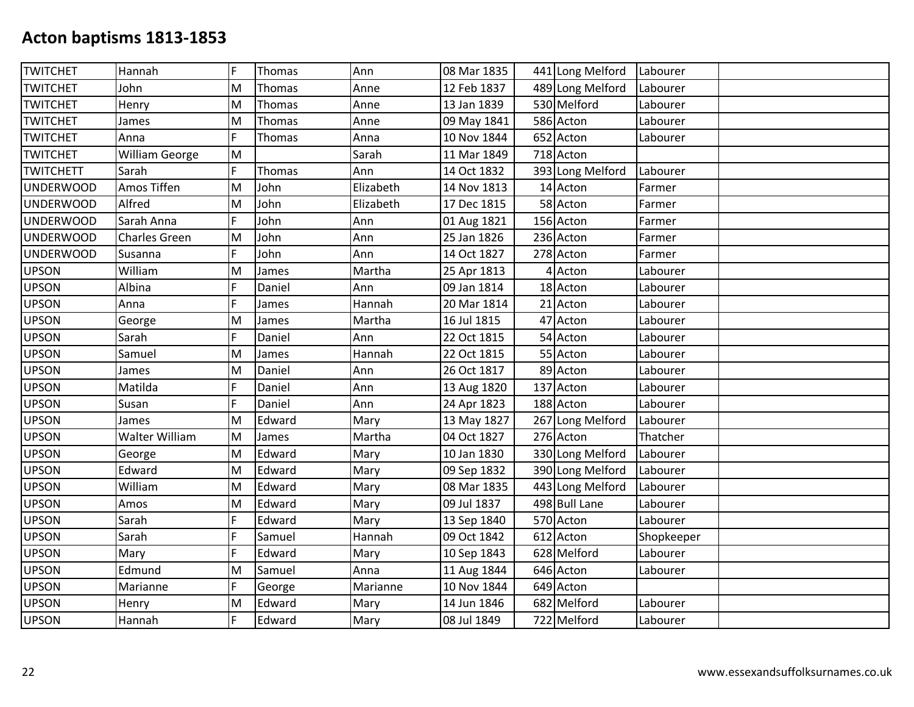| <b>TWITCHET</b>  | Hannah                | F  | Thomas | Ann       | 08 Mar 1835 | 441 Long Melford | Labourer   |  |
|------------------|-----------------------|----|--------|-----------|-------------|------------------|------------|--|
| <b>TWITCHET</b>  | John                  | M  | Thomas | Anne      | 12 Feb 1837 | 489 Long Melford | Labourer   |  |
| <b>TWITCHET</b>  | Henry                 | M  | Thomas | Anne      | 13 Jan 1839 | 530 Melford      | Labourer   |  |
| <b>TWITCHET</b>  | James                 | M  | Thomas | Anne      | 09 May 1841 | 586 Acton        | Labourer   |  |
| <b>TWITCHET</b>  | Anna                  | F  | Thomas | Anna      | 10 Nov 1844 | 652 Acton        | Labourer   |  |
| <b>TWITCHET</b>  | <b>William George</b> | M  |        | Sarah     | 11 Mar 1849 | 718 Acton        |            |  |
| <b>TWITCHETT</b> | Sarah                 | F  | Thomas | Ann       | 14 Oct 1832 | 393 Long Melford | Labourer   |  |
| <b>UNDERWOOD</b> | Amos Tiffen           | M  | John   | Elizabeth | 14 Nov 1813 | 14 Acton         | Farmer     |  |
| <b>UNDERWOOD</b> | Alfred                | M  | John   | Elizabeth | 17 Dec 1815 | 58 Acton         | Farmer     |  |
| <b>UNDERWOOD</b> | Sarah Anna            | F  | John   | Ann       | 01 Aug 1821 | 156 Acton        | Farmer     |  |
| <b>UNDERWOOD</b> | <b>Charles Green</b>  | M  | John   | Ann       | 25 Jan 1826 | 236 Acton        | Farmer     |  |
| <b>UNDERWOOD</b> | Susanna               | F  | John   | Ann       | 14 Oct 1827 | 278 Acton        | Farmer     |  |
| <b>UPSON</b>     | William               | M  | James  | Martha    | 25 Apr 1813 | 4 Acton          | Labourer   |  |
| <b>UPSON</b>     | Albina                | F  | Daniel | Ann       | 09 Jan 1814 | 18 Acton         | Labourer   |  |
| <b>UPSON</b>     | Anna                  | F  | James  | Hannah    | 20 Mar 1814 | 21 Acton         | Labourer   |  |
| <b>UPSON</b>     | George                | M  | James  | Martha    | 16 Jul 1815 | 47 Acton         | Labourer   |  |
| <b>UPSON</b>     | Sarah                 | F  | Daniel | Ann       | 22 Oct 1815 | 54 Acton         | Labourer   |  |
| <b>UPSON</b>     | Samuel                | M  | James  | Hannah    | 22 Oct 1815 | 55 Acton         | Labourer   |  |
| <b>UPSON</b>     | James                 | M  | Daniel | Ann       | 26 Oct 1817 | 89 Acton         | Labourer   |  |
| <b>UPSON</b>     | Matilda               | F  | Daniel | Ann       | 13 Aug 1820 | 137 Acton        | Labourer   |  |
| <b>UPSON</b>     | Susan                 | F  | Daniel | Ann       | 24 Apr 1823 | 188 Acton        | Labourer   |  |
| <b>UPSON</b>     | James                 | M  | Edward | Mary      | 13 May 1827 | 267 Long Melford | Labourer   |  |
| <b>UPSON</b>     | Walter William        | M  | James  | Martha    | 04 Oct 1827 | 276 Acton        | Thatcher   |  |
| <b>UPSON</b>     | George                | M  | Edward | Mary      | 10 Jan 1830 | 330 Long Melford | Labourer   |  |
| <b>UPSON</b>     | Edward                | M  | Edward | Mary      | 09 Sep 1832 | 390 Long Melford | Labourer   |  |
| <b>UPSON</b>     | William               | M  | Edward | Mary      | 08 Mar 1835 | 443 Long Melford | Labourer   |  |
| <b>UPSON</b>     | Amos                  | M  | Edward | Mary      | 09 Jul 1837 | 498 Bull Lane    | Labourer   |  |
| <b>UPSON</b>     | Sarah                 | F  | Edward | Mary      | 13 Sep 1840 | 570 Acton        | Labourer   |  |
| <b>UPSON</b>     | Sarah                 | F  | Samuel | Hannah    | 09 Oct 1842 | 612 Acton        | Shopkeeper |  |
| <b>UPSON</b>     | Mary                  | F  | Edward | Mary      | 10 Sep 1843 | 628 Melford      | Labourer   |  |
| <b>UPSON</b>     | Edmund                | M  | Samuel | Anna      | 11 Aug 1844 | 646 Acton        | Labourer   |  |
| <b>UPSON</b>     | Marianne              | F  | George | Marianne  | 10 Nov 1844 | 649 Acton        |            |  |
| <b>UPSON</b>     | Henry                 | M  | Edward | Mary      | 14 Jun 1846 | 682 Melford      | Labourer   |  |
| <b>UPSON</b>     | Hannah                | F. | Edward | Mary      | 08 Jul 1849 | 722 Melford      | Labourer   |  |
|                  |                       |    |        |           |             |                  |            |  |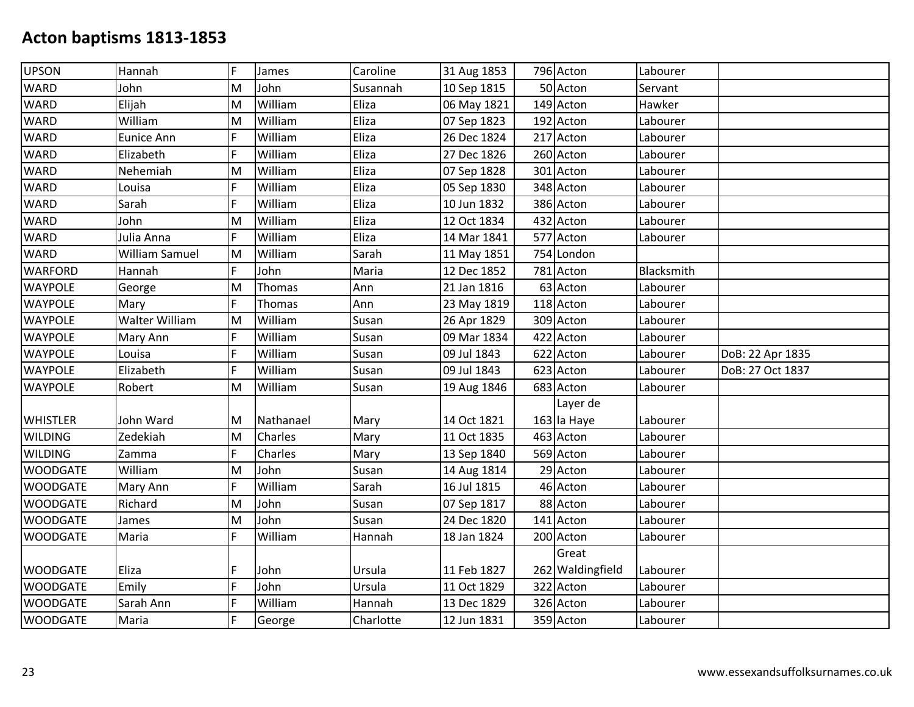| <b>UPSON</b>    | Hannah         | F | James     | Caroline | 31 Aug 1853 | 796 Acton        | Labourer   |                  |
|-----------------|----------------|---|-----------|----------|-------------|------------------|------------|------------------|
| <b>WARD</b>     | John           | M | John      | Susannah | 10 Sep 1815 | 50 Acton         | Servant    |                  |
| <b>WARD</b>     | Elijah         | M | William   | Eliza    | 06 May 1821 | 149 Acton        | Hawker     |                  |
| <b>WARD</b>     | William        | M | William   | Eliza    | 07 Sep 1823 | 192 Acton        | Labourer   |                  |
| <b>WARD</b>     | Eunice Ann     | F | William   | Eliza    | 26 Dec 1824 | 217 Acton        | Labourer   |                  |
| <b>WARD</b>     | Elizabeth      | F | William   | Eliza    | 27 Dec 1826 | 260 Acton        | Labourer   |                  |
| <b>WARD</b>     | Nehemiah       | M | William   | Eliza    | 07 Sep 1828 | 301 Acton        | Labourer   |                  |
| <b>WARD</b>     | Louisa         | F | William   | Eliza    | 05 Sep 1830 | 348 Acton        | Labourer   |                  |
| <b>WARD</b>     | Sarah          | F | William   | Eliza    | 10 Jun 1832 | 386 Acton        | Labourer   |                  |
| <b>WARD</b>     | John           | M | William   | Eliza    | 12 Oct 1834 | 432 Acton        | Labourer   |                  |
| <b>WARD</b>     | Julia Anna     | F | William   | Eliza    | 14 Mar 1841 | 577 Acton        | Labourer   |                  |
| <b>WARD</b>     | William Samuel | M | William   | Sarah    | 11 May 1851 | 754 London       |            |                  |
| <b>WARFORD</b>  | Hannah         | F | John      | Maria    | 12 Dec 1852 | 781 Acton        | Blacksmith |                  |
| <b>WAYPOLE</b>  | George         | M | Thomas    | Ann      | 21 Jan 1816 | 63 Acton         | Labourer   |                  |
| <b>WAYPOLE</b>  | Mary           | F | Thomas    | Ann      | 23 May 1819 | 118 Acton        | Labourer   |                  |
| <b>WAYPOLE</b>  | Walter William | M | William   | Susan    | 26 Apr 1829 | 309 Acton        | Labourer   |                  |
| <b>WAYPOLE</b>  | Mary Ann       | F | William   | Susan    | 09 Mar 1834 | 422 Acton        | Labourer   |                  |
| <b>WAYPOLE</b>  | Louisa         | F | William   | Susan    | 09 Jul 1843 | 622 Acton        | Labourer   | DoB: 22 Apr 1835 |
| <b>WAYPOLE</b>  | Elizabeth      | F | William   | Susan    | 09 Jul 1843 | 623 Acton        | Labourer   | DoB: 27 Oct 1837 |
| <b>WAYPOLE</b>  | Robert         | M | William   | Susan    | 19 Aug 1846 | 683 Acton        | Labourer   |                  |
|                 |                |   |           |          |             | Layer de         |            |                  |
|                 |                |   |           |          |             |                  |            |                  |
| <b>WHISTLER</b> | John Ward      | M | Nathanael | Mary     | 14 Oct 1821 | 163 la Haye      | Labourer   |                  |
| <b>WILDING</b>  | Zedekiah       | M | Charles   | Mary     | 11 Oct 1835 | 463 Acton        | Labourer   |                  |
| <b>WILDING</b>  | Zamma          | F | Charles   | Mary     | 13 Sep 1840 | 569 Acton        | Labourer   |                  |
| <b>WOODGATE</b> | William        | M | John      | Susan    | 14 Aug 1814 | 29 Acton         | Labourer   |                  |
| <b>WOODGATE</b> | Mary Ann       | F | William   | Sarah    | 16 Jul 1815 | 46 Acton         | Labourer   |                  |
| <b>WOODGATE</b> | Richard        | M | John      | Susan    | 07 Sep 1817 | 88 Acton         | Labourer   |                  |
| <b>WOODGATE</b> | James          | M | John      | Susan    | 24 Dec 1820 | 141 Acton        | Labourer   |                  |
| <b>WOODGATE</b> | Maria          | F | William   | Hannah   | 18 Jan 1824 | 200 Acton        | Labourer   |                  |
|                 |                |   |           |          |             | Great            |            |                  |
| <b>WOODGATE</b> | Eliza          | F | John      | Ursula   | 11 Feb 1827 | 262 Waldingfield | Labourer   |                  |
| <b>WOODGATE</b> | Emily          | F | John      | Ursula   | 11 Oct 1829 | 322 Acton        | Labourer   |                  |
| <b>WOODGATE</b> | Sarah Ann      | F | William   | Hannah   | 13 Dec 1829 | 326 Acton        | Labourer   |                  |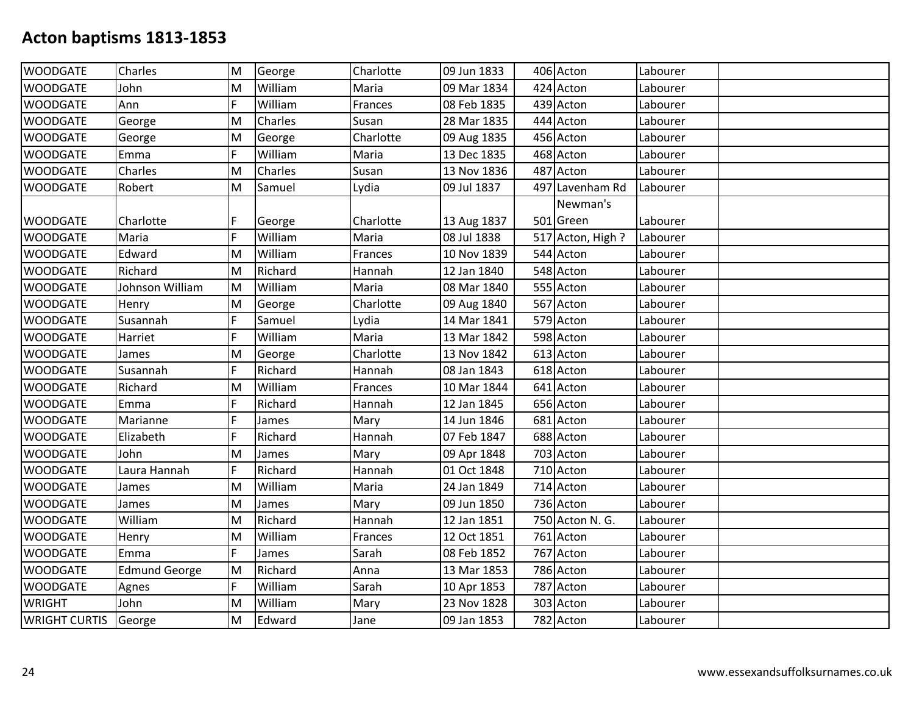| <b>WOODGATE</b>             | <b>Charles</b>       | M           | George  | Charlotte | 09 Jun 1833 | 406 Acton        | Labourer |  |
|-----------------------------|----------------------|-------------|---------|-----------|-------------|------------------|----------|--|
| <b>WOODGATE</b>             | John                 | M           | William | Maria     | 09 Mar 1834 | 424 Acton        | Labourer |  |
| <b>WOODGATE</b>             | Ann                  | F           | William | Frances   | 08 Feb 1835 | 439 Acton        | Labourer |  |
| <b>WOODGATE</b>             | George               | M           | Charles | Susan     | 28 Mar 1835 | 444 Acton        | Labourer |  |
| <b>WOODGATE</b>             | George               | M           | George  | Charlotte | 09 Aug 1835 | 456 Acton        | Labourer |  |
| <b>WOODGATE</b>             | Emma                 | F           | William | Maria     | 13 Dec 1835 | 468 Acton        | Labourer |  |
| <b>WOODGATE</b>             | Charles              | M           | Charles | Susan     | 13 Nov 1836 | 487 Acton        | Labourer |  |
| <b>WOODGATE</b>             | Robert               | M           | Samuel  | Lydia     | 09 Jul 1837 | 497 Lavenham Rd  | Labourer |  |
|                             |                      |             |         |           |             | Newman's         |          |  |
| <b>WOODGATE</b>             | Charlotte            | $\mathsf F$ | George  | Charlotte | 13 Aug 1837 | 501 Green        | Labourer |  |
| <b>WOODGATE</b>             | Maria                | F           | William | Maria     | 08 Jul 1838 | 517 Acton, High? | Labourer |  |
| <b>WOODGATE</b>             | Edward               | M           | William | Frances   | 10 Nov 1839 | 544 Acton        | Labourer |  |
| <b>WOODGATE</b>             | Richard              | M           | Richard | Hannah    | 12 Jan 1840 | 548 Acton        | Labourer |  |
| <b>WOODGATE</b>             | Johnson William      | M           | William | Maria     | 08 Mar 1840 | 555 Acton        | Labourer |  |
| <b>WOODGATE</b>             | Henry                | M           | George  | Charlotte | 09 Aug 1840 | 567 Acton        | Labourer |  |
| <b>WOODGATE</b>             | Susannah             | F           | Samuel  | Lydia     | 14 Mar 1841 | 579 Acton        | Labourer |  |
| <b>WOODGATE</b>             | Harriet              | F           | William | Maria     | 13 Mar 1842 | 598 Acton        | Labourer |  |
| <b>WOODGATE</b>             | James                | M           | George  | Charlotte | 13 Nov 1842 | 613 Acton        | Labourer |  |
| <b>WOODGATE</b>             | Susannah             | F           | Richard | Hannah    | 08 Jan 1843 | 618 Acton        | Labourer |  |
| <b>WOODGATE</b>             | Richard              | M           | William | Frances   | 10 Mar 1844 | 641 Acton        | Labourer |  |
| <b>WOODGATE</b>             | Emma                 | F           | Richard | Hannah    | 12 Jan 1845 | 656 Acton        | Labourer |  |
| <b>WOODGATE</b>             | Marianne             | F           | James   | Mary      | 14 Jun 1846 | 681 Acton        | Labourer |  |
| <b>WOODGATE</b>             | Elizabeth            | F           | Richard | Hannah    | 07 Feb 1847 | 688 Acton        | Labourer |  |
| <b>WOODGATE</b>             | John                 | M           | James   | Mary      | 09 Apr 1848 | 703 Acton        | Labourer |  |
| <b>WOODGATE</b>             | Laura Hannah         | F           | Richard | Hannah    | 01 Oct 1848 | 710 Acton        | Labourer |  |
| <b>WOODGATE</b>             | James                | M           | William | Maria     | 24 Jan 1849 | 714 Acton        | Labourer |  |
| <b>WOODGATE</b>             | James                | M           | James   | Mary      | 09 Jun 1850 | 736 Acton        | Labourer |  |
| <b>WOODGATE</b>             | William              | M           | Richard | Hannah    | 12 Jan 1851 | 750 Acton N. G.  | Labourer |  |
| <b>WOODGATE</b>             | Henry                | M           | William | Frances   | 12 Oct 1851 | 761 Acton        | Labourer |  |
| <b>WOODGATE</b>             | Emma                 | F           | James   | Sarah     | 08 Feb 1852 | 767 Acton        | Labourer |  |
| <b>WOODGATE</b>             | <b>Edmund George</b> | M           | Richard | Anna      | 13 Mar 1853 | 786 Acton        | Labourer |  |
| <b>WOODGATE</b>             | Agnes                | F           | William | Sarah     | 10 Apr 1853 | 787 Acton        | Labourer |  |
| <b>WRIGHT</b>               | John                 | M           | William | Mary      | 23 Nov 1828 | 303 Acton        | Labourer |  |
| <b>WRIGHT CURTIS George</b> |                      | M           | Edward  | Jane      | 09 Jan 1853 | 782 Acton        | Labourer |  |
|                             |                      |             |         |           |             |                  |          |  |